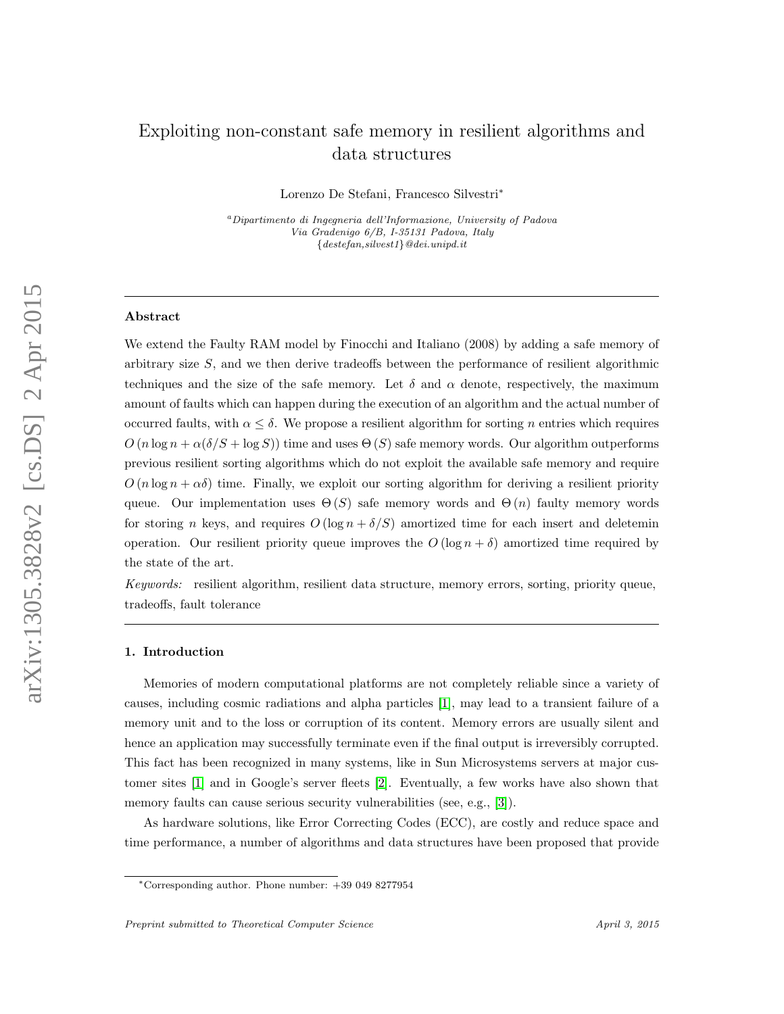# Exploiting non-constant safe memory in resilient algorithms and data structures

Lorenzo De Stefani, Francesco Silvestri<sup>∗</sup>

<sup>a</sup>Dipartimento di Ingegneria dell'Informazione, University of Padova Via Gradenigo 6/B, I-35131 Padova, Italy {destefan,silvest1}@dei.unipd.it

## Abstract

We extend the Faulty RAM model by Finocchi and Italiano (2008) by adding a safe memory of arbitrary size S, and we then derive tradeoffs between the performance of resilient algorithmic techniques and the size of the safe memory. Let  $\delta$  and  $\alpha$  denote, respectively, the maximum amount of faults which can happen during the execution of an algorithm and the actual number of occurred faults, with  $\alpha \leq \delta$ . We propose a resilient algorithm for sorting *n* entries which requires  $O(n \log n + \alpha(\delta/S + \log S))$  time and uses  $\Theta(S)$  safe memory words. Our algorithm outperforms previous resilient sorting algorithms which do not exploit the available safe memory and require  $O(n \log n + \alpha \delta)$  time. Finally, we exploit our sorting algorithm for deriving a resilient priority queue. Our implementation uses  $\Theta(S)$  safe memory words and  $\Theta(n)$  faulty memory words for storing n keys, and requires  $O(\log n + \delta/S)$  amortized time for each insert and deletemin operation. Our resilient priority queue improves the  $O(\log n + \delta)$  amortized time required by the state of the art.

Keywords: resilient algorithm, resilient data structure, memory errors, sorting, priority queue, tradeoffs, fault tolerance

#### 1. Introduction

Memories of modern computational platforms are not completely reliable since a variety of causes, including cosmic radiations and alpha particles [\[1\]](#page-19-0), may lead to a transient failure of a memory unit and to the loss or corruption of its content. Memory errors are usually silent and hence an application may successfully terminate even if the final output is irreversibly corrupted. This fact has been recognized in many systems, like in Sun Microsystems servers at major customer sites [\[1\]](#page-19-0) and in Google's server fleets [\[2\]](#page-19-1). Eventually, a few works have also shown that memory faults can cause serious security vulnerabilities (see, e.g., [\[3\]](#page-19-2)).

As hardware solutions, like Error Correcting Codes (ECC), are costly and reduce space and time performance, a number of algorithms and data structures have been proposed that provide

<sup>∗</sup>Corresponding author. Phone number: +39 049 8277954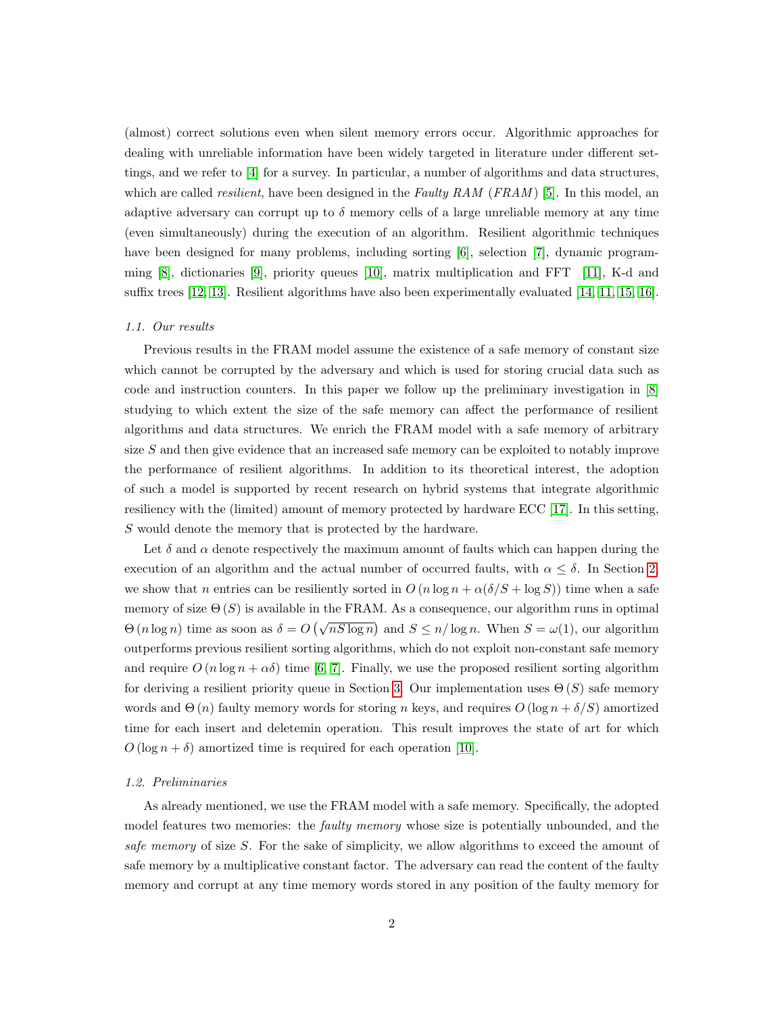(almost) correct solutions even when silent memory errors occur. Algorithmic approaches for dealing with unreliable information have been widely targeted in literature under different settings, and we refer to [\[4\]](#page-19-3) for a survey. In particular, a number of algorithms and data structures, which are called *resilient*, have been designed in the Faulty RAM (FRAM) [\[5\]](#page-19-4). In this model, an adaptive adversary can corrupt up to  $\delta$  memory cells of a large unreliable memory at any time (even simultaneously) during the execution of an algorithm. Resilient algorithmic techniques have been designed for many problems, including sorting  $[6]$ , selection  $[7]$ , dynamic programming [\[8\]](#page-19-7), dictionaries [\[9\]](#page-19-8), priority queues [\[10\]](#page-19-9), matrix multiplication and FFT [\[11\]](#page-19-10), K-d and suffix trees [\[12,](#page-20-0) [13\]](#page-20-1). Resilient algorithms have also been experimentally evaluated [\[14,](#page-20-2) [11,](#page-19-10) [15,](#page-20-3) [16\]](#page-20-4).

#### 1.1. Our results

Previous results in the FRAM model assume the existence of a safe memory of constant size which cannot be corrupted by the adversary and which is used for storing crucial data such as code and instruction counters. In this paper we follow up the preliminary investigation in [\[8\]](#page-19-7) studying to which extent the size of the safe memory can affect the performance of resilient algorithms and data structures. We enrich the FRAM model with a safe memory of arbitrary size  $S$  and then give evidence that an increased safe memory can be exploited to notably improve the performance of resilient algorithms. In addition to its theoretical interest, the adoption of such a model is supported by recent research on hybrid systems that integrate algorithmic resiliency with the (limited) amount of memory protected by hardware ECC [\[17\]](#page-20-5). In this setting, S would denote the memory that is protected by the hardware.

Let  $\delta$  and  $\alpha$  denote respectively the maximum amount of faults which can happen during the execution of an algorithm and the actual number of occurred faults, with  $\alpha \leq \delta$ . In Section [2,](#page-2-0) we show that n entries can be resiliently sorted in  $O(n \log n + \alpha(\delta/S + \log S))$  time when a safe memory of size  $\Theta(S)$  is available in the FRAM. As a consequence, our algorithm runs in optimal  $Θ$  (n log n) time as soon as  $δ = O(√nS \log n)$  and  $S ≤ n/\log n$ . When  $S = ω(1)$ , our algorithm outperforms previous resilient sorting algorithms, which do not exploit non-constant safe memory and require  $O(n \log n + \alpha \delta)$  time [\[6,](#page-19-5) [7\]](#page-19-6). Finally, we use the proposed resilient sorting algorithm for deriving a resilient priority queue in Section [3.](#page-9-0) Our implementation uses  $\Theta(S)$  safe memory words and  $\Theta(n)$  faulty memory words for storing n keys, and requires  $O(\log n + \delta/S)$  amortized time for each insert and deletemin operation. This result improves the state of art for which  $O(\log n + \delta)$  amortized time is required for each operation [\[10\]](#page-19-9).

#### 1.2. Preliminaries

As already mentioned, we use the FRAM model with a safe memory. Specifically, the adopted model features two memories: the *faulty memory* whose size is potentially unbounded, and the safe memory of size S. For the sake of simplicity, we allow algorithms to exceed the amount of safe memory by a multiplicative constant factor. The adversary can read the content of the faulty memory and corrupt at any time memory words stored in any position of the faulty memory for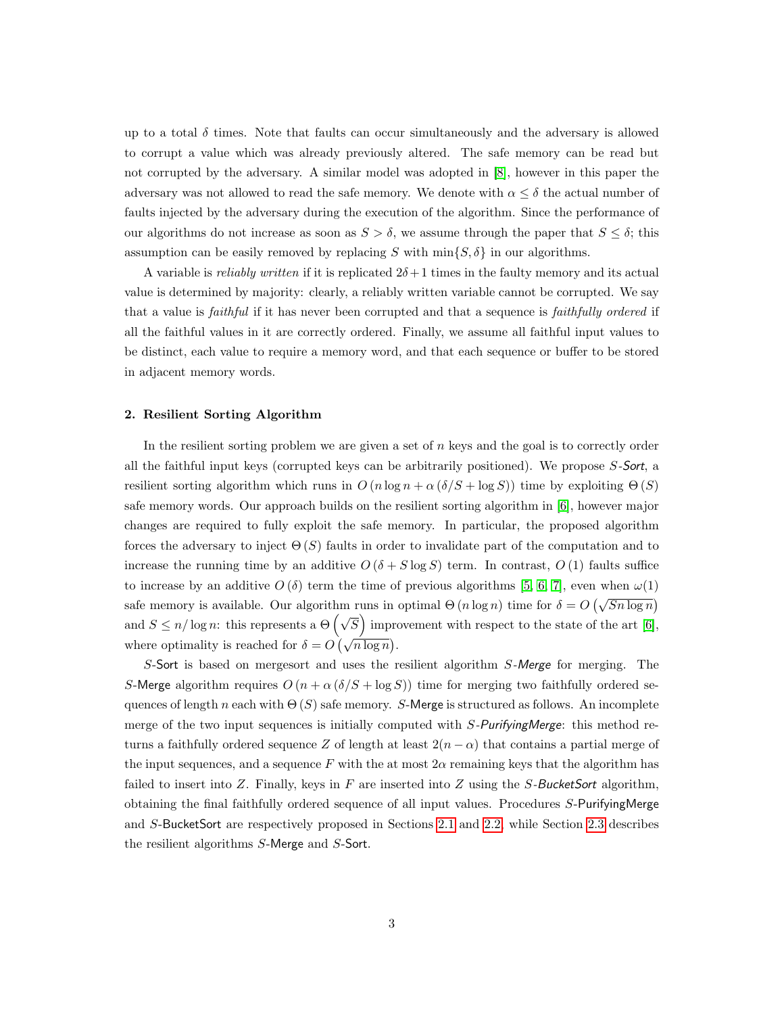up to a total  $\delta$  times. Note that faults can occur simultaneously and the adversary is allowed to corrupt a value which was already previously altered. The safe memory can be read but not corrupted by the adversary. A similar model was adopted in [\[8\]](#page-19-7), however in this paper the adversary was not allowed to read the safe memory. We denote with  $\alpha \leq \delta$  the actual number of faults injected by the adversary during the execution of the algorithm. Since the performance of our algorithms do not increase as soon as  $S > \delta$ , we assume through the paper that  $S \leq \delta$ ; this assumption can be easily removed by replacing S with  $\min\{S, \delta\}$  in our algorithms.

A variable is *reliably written* if it is replicated  $2\delta + 1$  times in the faulty memory and its actual value is determined by majority: clearly, a reliably written variable cannot be corrupted. We say that a value is *faithful* if it has never been corrupted and that a sequence is *faithfully ordered* if all the faithful values in it are correctly ordered. Finally, we assume all faithful input values to be distinct, each value to require a memory word, and that each sequence or buffer to be stored in adjacent memory words.

# <span id="page-2-0"></span>2. Resilient Sorting Algorithm

In the resilient sorting problem we are given a set of  $n$  keys and the goal is to correctly order all the faithful input keys (corrupted keys can be arbitrarily positioned). We propose  $S\text{-}Sort$ , a resilient sorting algorithm which runs in  $O(n \log n + \alpha (\delta/S + \log S))$  time by exploiting  $\Theta(S)$ safe memory words. Our approach builds on the resilient sorting algorithm in [\[6\]](#page-19-5), however major changes are required to fully exploit the safe memory. In particular, the proposed algorithm forces the adversary to inject  $\Theta(S)$  faults in order to invalidate part of the computation and to increase the running time by an additive  $O(\delta + S \log S)$  term. In contrast,  $O(1)$  faults suffice to increase by an additive  $O(\delta)$  term the time of previous algorithms [\[5,](#page-19-4) [6,](#page-19-5) [7\]](#page-19-6), even when  $\omega(1)$ safe memory is available. Our algorithm runs in optimal  $\Theta(n \log n)$  time for  $\delta = O(\sqrt{Sn \log n})$ and  $S \le n/\log n$ : this represents a  $\Theta\left(\sqrt{S}\right)$  improvement with respect to the state of the art [\[6\]](#page-19-5), where optimality is reached for  $\delta = O(\sqrt{n \log n})$ .

S-Sort is based on mergesort and uses the resilient algorithm S-Merge for merging. The S-Merge algorithm requires  $O(n + \alpha (\delta/S + \log S))$  time for merging two faithfully ordered sequences of length n each with  $\Theta(S)$  safe memory. S-Merge is structured as follows. An incomplete merge of the two input sequences is initially computed with S-PurifyingMerge: this method returns a faithfully ordered sequence Z of length at least  $2(n - \alpha)$  that contains a partial merge of the input sequences, and a sequence F with the at most  $2\alpha$  remaining keys that the algorithm has failed to insert into  $Z$ . Finally, keys in  $F$  are inserted into  $Z$  using the  $S$ -BucketSort algorithm, obtaining the final faithfully ordered sequence of all input values. Procedures S-PurifyingMerge and S-BucketSort are respectively proposed in Sections [2.1](#page-3-0) and [2.2,](#page-6-0) while Section [2.3](#page-8-0) describes the resilient algorithms S-Merge and S-Sort.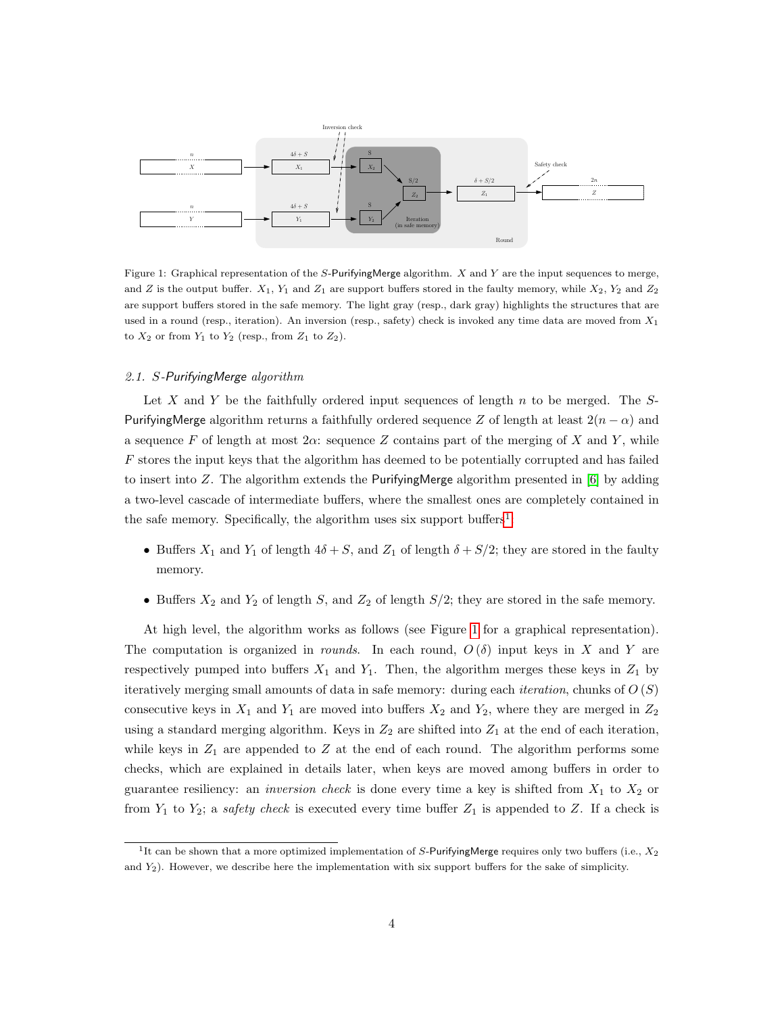

<span id="page-3-2"></span>Figure 1: Graphical representation of the S-PurifyingMerge algorithm. X and Y are the input sequences to merge, and Z is the output buffer.  $X_1$ ,  $Y_1$  and  $Z_1$  are support buffers stored in the faulty memory, while  $X_2$ ,  $Y_2$  and  $Z_2$ are support buffers stored in the safe memory. The light gray (resp., dark gray) highlights the structures that are used in a round (resp., iteration). An inversion (resp., safety) check is invoked any time data are moved from  $X_1$ to  $X_2$  or from  $Y_1$  to  $Y_2$  (resp., from  $Z_1$  to  $Z_2$ ).

# <span id="page-3-0"></span>2.1. S-PurifyingMerge algorithm

Let  $X$  and  $Y$  be the faithfully ordered input sequences of length  $n$  to be merged. The  $S$ -PurifyingMerge algorithm returns a faithfully ordered sequence Z of length at least  $2(n - \alpha)$  and a sequence F of length at most  $2\alpha$ : sequence Z contains part of the merging of X and Y, while  $F$  stores the input keys that the algorithm has deemed to be potentially corrupted and has failed to insert into  $Z$ . The algorithm extends the PurifyingMerge algorithm presented in [\[6\]](#page-19-5) by adding a two-level cascade of intermediate buffers, where the smallest ones are completely contained in the safe memory. Specifically, the algorithm uses six support buffers<sup>[1](#page-3-1)</sup>:

- Buffers  $X_1$  and  $Y_1$  of length  $4\delta + S$ , and  $Z_1$  of length  $\delta + S/2$ ; they are stored in the faulty memory.
- Buffers  $X_2$  and  $Y_2$  of length  $S$ , and  $Z_2$  of length  $S/2$ ; they are stored in the safe memory.

At high level, the algorithm works as follows (see Figure [1](#page-3-2) for a graphical representation). The computation is organized in *rounds*. In each round,  $O(\delta)$  input keys in X and Y are respectively pumped into buffers  $X_1$  and  $Y_1$ . Then, the algorithm merges these keys in  $Z_1$  by iteratively merging small amounts of data in safe memory: during each *iteration*, chunks of  $O(S)$ consecutive keys in  $X_1$  and  $Y_1$  are moved into buffers  $X_2$  and  $Y_2$ , where they are merged in  $Z_2$ using a standard merging algorithm. Keys in  $Z_2$  are shifted into  $Z_1$  at the end of each iteration, while keys in  $Z_1$  are appended to  $Z$  at the end of each round. The algorithm performs some checks, which are explained in details later, when keys are moved among buffers in order to guarantee resiliency: an *inversion check* is done every time a key is shifted from  $X_1$  to  $X_2$  or from  $Y_1$  to  $Y_2$ ; a safety check is executed every time buffer  $Z_1$  is appended to Z. If a check is

<span id="page-3-1"></span><sup>&</sup>lt;sup>1</sup>It can be shown that a more optimized implementation of S-PurifyingMerge requires only two buffers (i.e.,  $X_2$ and Y2). However, we describe here the implementation with six support buffers for the sake of simplicity.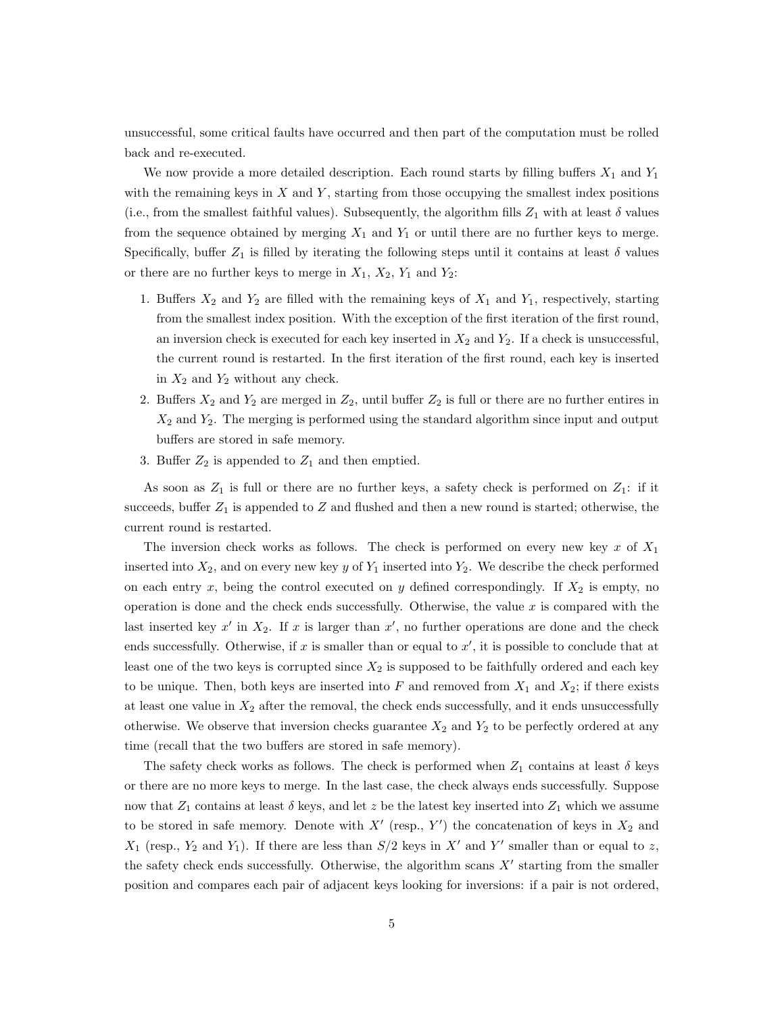unsuccessful, some critical faults have occurred and then part of the computation must be rolled back and re-executed.

We now provide a more detailed description. Each round starts by filling buffers  $X_1$  and  $Y_1$ with the remaining keys in  $X$  and  $Y$ , starting from those occupying the smallest index positions (i.e., from the smallest faithful values). Subsequently, the algorithm fills  $Z_1$  with at least  $\delta$  values from the sequence obtained by merging  $X_1$  and  $Y_1$  or until there are no further keys to merge. Specifically, buffer  $Z_1$  is filled by iterating the following steps until it contains at least  $\delta$  values or there are no further keys to merge in  $X_1$ ,  $X_2$ ,  $Y_1$  and  $Y_2$ :

- 1. Buffers  $X_2$  and  $Y_2$  are filled with the remaining keys of  $X_1$  and  $Y_1$ , respectively, starting from the smallest index position. With the exception of the first iteration of the first round, an inversion check is executed for each key inserted in  $X_2$  and  $Y_2$ . If a check is unsuccessful, the current round is restarted. In the first iteration of the first round, each key is inserted in  $X_2$  and  $Y_2$  without any check.
- 2. Buffers  $X_2$  and  $Y_2$  are merged in  $Z_2$ , until buffer  $Z_2$  is full or there are no further entires in  $X_2$  and  $Y_2$ . The merging is performed using the standard algorithm since input and output buffers are stored in safe memory.
- 3. Buffer  $Z_2$  is appended to  $Z_1$  and then emptied.

As soon as  $Z_1$  is full or there are no further keys, a safety check is performed on  $Z_1$ : if it succeeds, buffer  $Z_1$  is appended to  $Z$  and flushed and then a new round is started; otherwise, the current round is restarted.

The inversion check works as follows. The check is performed on every new key x of  $X_1$ inserted into  $X_2$ , and on every new key y of  $Y_1$  inserted into  $Y_2$ . We describe the check performed on each entry x, being the control executed on y defined correspondingly. If  $X_2$  is empty, no operation is done and the check ends successfully. Otherwise, the value  $x$  is compared with the last inserted key  $x'$  in  $X_2$ . If x is larger than  $x'$ , no further operations are done and the check ends successfully. Otherwise, if  $x$  is smaller than or equal to  $x'$ , it is possible to conclude that at least one of the two keys is corrupted since  $X_2$  is supposed to be faithfully ordered and each key to be unique. Then, both keys are inserted into F and removed from  $X_1$  and  $X_2$ ; if there exists at least one value in  $X_2$  after the removal, the check ends successfully, and it ends unsuccessfully otherwise. We observe that inversion checks guarantee  $X_2$  and  $Y_2$  to be perfectly ordered at any time (recall that the two buffers are stored in safe memory).

The safety check works as follows. The check is performed when  $Z_1$  contains at least  $\delta$  keys or there are no more keys to merge. In the last case, the check always ends successfully. Suppose now that  $Z_1$  contains at least  $\delta$  keys, and let z be the latest key inserted into  $Z_1$  which we assume to be stored in safe memory. Denote with  $X'$  (resp., Y') the concatenation of keys in  $X_2$  and  $X_1$  (resp.,  $Y_2$  and  $Y_1$ ). If there are less than  $S/2$  keys in X' and Y' smaller than or equal to z, the safety check ends successfully. Otherwise, the algorithm scans  $X'$  starting from the smaller position and compares each pair of adjacent keys looking for inversions: if a pair is not ordered,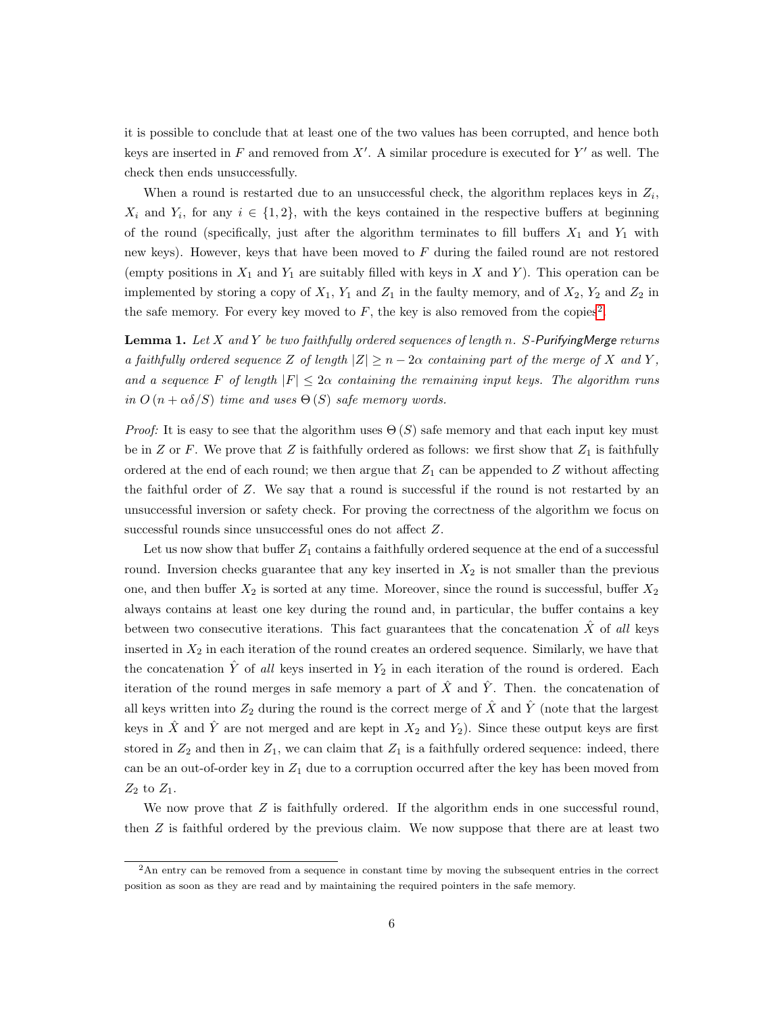it is possible to conclude that at least one of the two values has been corrupted, and hence both keys are inserted in  $F$  and removed from  $X'$ . A similar procedure is executed for  $Y'$  as well. The check then ends unsuccessfully.

When a round is restarted due to an unsuccessful check, the algorithm replaces keys in  $Z_i$ ,  $X_i$  and  $Y_i$ , for any  $i \in \{1,2\}$ , with the keys contained in the respective buffers at beginning of the round (specifically, just after the algorithm terminates to fill buffers  $X_1$  and  $Y_1$  with new keys). However, keys that have been moved to  $F$  during the failed round are not restored (empty positions in  $X_1$  and  $Y_1$  are suitably filled with keys in X and Y). This operation can be implemented by storing a copy of  $X_1$ ,  $Y_1$  and  $Z_1$  in the faulty memory, and of  $X_2$ ,  $Y_2$  and  $Z_2$  in the safe memory. For every key moved to  $F$ , the key is also removed from the copies<sup>[2](#page-5-0)</sup>.

<span id="page-5-1"></span>**Lemma 1.** Let X and Y be two faithfully ordered sequences of length n. S-PurifyingMerge returns a faithfully ordered sequence Z of length  $|Z| \geq n - 2\alpha$  containing part of the merge of X and Y, and a sequence F of length  $|F| \leq 2\alpha$  containing the remaining input keys. The algorithm runs in  $O(n + \alpha\delta/S)$  time and uses  $\Theta(S)$  safe memory words.

*Proof:* It is easy to see that the algorithm uses  $\Theta(S)$  safe memory and that each input key must be in Z or F. We prove that Z is faithfully ordered as follows: we first show that  $Z_1$  is faithfully ordered at the end of each round; we then argue that  $Z_1$  can be appended to  $Z$  without affecting the faithful order of Z. We say that a round is successful if the round is not restarted by an unsuccessful inversion or safety check. For proving the correctness of the algorithm we focus on successful rounds since unsuccessful ones do not affect Z.

Let us now show that buffer  $Z_1$  contains a faithfully ordered sequence at the end of a successful round. Inversion checks guarantee that any key inserted in  $X_2$  is not smaller than the previous one, and then buffer  $X_2$  is sorted at any time. Moreover, since the round is successful, buffer  $X_2$ always contains at least one key during the round and, in particular, the buffer contains a key between two consecutive iterations. This fact guarantees that the concatenation  $\ddot{X}$  of all keys inserted in  $X_2$  in each iteration of the round creates an ordered sequence. Similarly, we have that the concatenation  $\hat{Y}$  of all keys inserted in  $Y_2$  in each iteration of the round is ordered. Each iteration of the round merges in safe memory a part of  $\hat{X}$  and  $\hat{Y}$ . Then. the concatenation of all keys written into  $Z_2$  during the round is the correct merge of  $\hat{X}$  and  $\hat{Y}$  (note that the largest keys in  $\hat{X}$  and  $\hat{Y}$  are not merged and are kept in  $X_2$  and  $Y_2$ ). Since these output keys are first stored in  $Z_2$  and then in  $Z_1$ , we can claim that  $Z_1$  is a faithfully ordered sequence: indeed, there can be an out-of-order key in  $Z_1$  due to a corruption occurred after the key has been moved from  $Z_2$  to  $Z_1$ .

We now prove that  $Z$  is faithfully ordered. If the algorithm ends in one successful round, then Z is faithful ordered by the previous claim. We now suppose that there are at least two

<span id="page-5-0"></span><sup>&</sup>lt;sup>2</sup>An entry can be removed from a sequence in constant time by moving the subsequent entries in the correct position as soon as they are read and by maintaining the required pointers in the safe memory.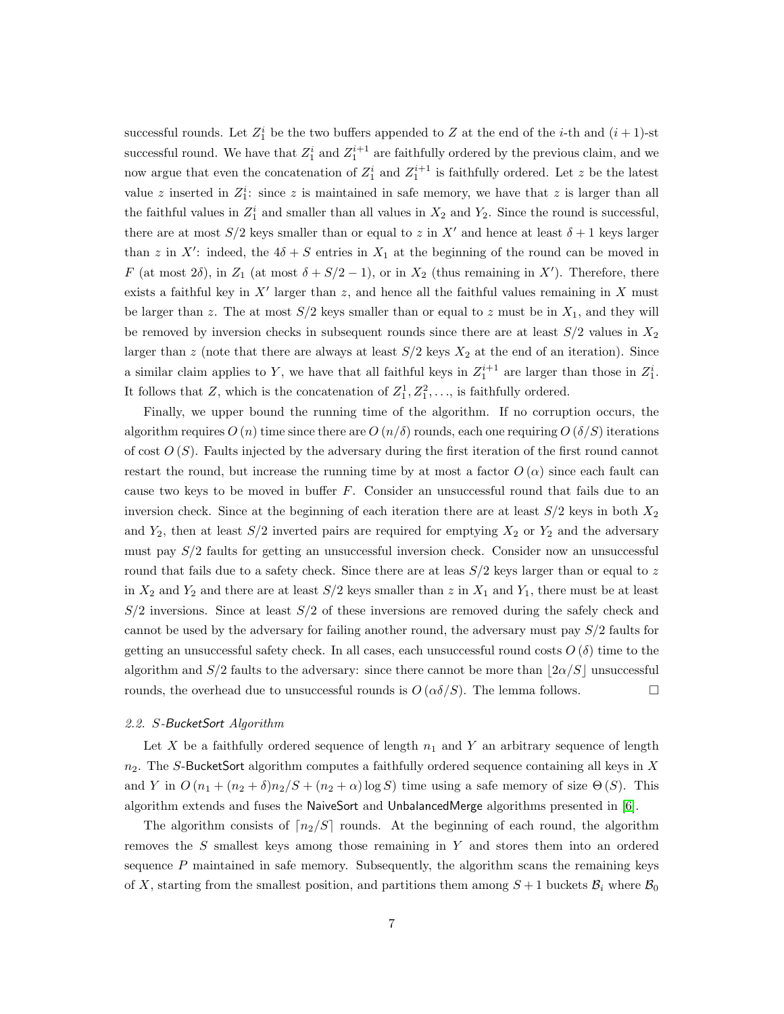successful rounds. Let  $Z_1^i$  be the two buffers appended to Z at the end of the *i*-th and  $(i + 1)$ -st successful round. We have that  $Z_1^i$  and  $Z_1^{i+1}$  are faithfully ordered by the previous claim, and we now argue that even the concatenation of  $Z_1^i$  and  $Z_1^{i+1}$  is faithfully ordered. Let z be the latest value z inserted in  $Z_1^i$ : since z is maintained in safe memory, we have that z is larger than all the faithful values in  $Z_1^i$  and smaller than all values in  $X_2$  and  $Y_2$ . Since the round is successful, there are at most  $S/2$  keys smaller than or equal to z in X' and hence at least  $\delta + 1$  keys larger than z in X': indeed, the  $4\delta + S$  entries in  $X_1$  at the beginning of the round can be moved in F (at most 2 $\delta$ ), in  $Z_1$  (at most  $\delta + S/2 - 1$ ), or in  $X_2$  (thus remaining in X'). Therefore, there exists a faithful key in  $X'$  larger than z, and hence all the faithful values remaining in X must be larger than z. The at most  $S/2$  keys smaller than or equal to z must be in  $X_1$ , and they will be removed by inversion checks in subsequent rounds since there are at least  $S/2$  values in  $X_2$ larger than z (note that there are always at least  $S/2$  keys  $X_2$  at the end of an iteration). Since a similar claim applies to Y, we have that all faithful keys in  $Z_1^{i+1}$  are larger than those in  $Z_1^i$ . It follows that Z, which is the concatenation of  $Z_1^1, Z_1^2, \ldots$ , is faithfully ordered.

Finally, we upper bound the running time of the algorithm. If no corruption occurs, the algorithm requires  $O(n)$  time since there are  $O(n/\delta)$  rounds, each one requiring  $O(\delta/S)$  iterations of cost  $O(S)$ . Faults injected by the adversary during the first iteration of the first round cannot restart the round, but increase the running time by at most a factor  $O(\alpha)$  since each fault can cause two keys to be moved in buffer F. Consider an unsuccessful round that fails due to an inversion check. Since at the beginning of each iteration there are at least  $S/2$  keys in both  $X_2$ and  $Y_2$ , then at least  $S/2$  inverted pairs are required for emptying  $X_2$  or  $Y_2$  and the adversary must pay S/2 faults for getting an unsuccessful inversion check. Consider now an unsuccessful round that fails due to a safety check. Since there are at leas  $S/2$  keys larger than or equal to z in  $X_2$  and  $Y_2$  and there are at least  $S/2$  keys smaller than z in  $X_1$  and  $Y_1$ , there must be at least  $S/2$  inversions. Since at least  $S/2$  of these inversions are removed during the safely check and cannot be used by the adversary for failing another round, the adversary must pay S/2 faults for getting an unsuccessful safety check. In all cases, each unsuccessful round costs  $O(\delta)$  time to the algorithm and  $S/2$  faults to the adversary: since there cannot be more than  $\left|2\alpha/S\right|$  unsuccessful rounds, the overhead due to unsuccessful rounds is  $O(\alpha\delta/S)$ . The lemma follows.

# <span id="page-6-0"></span>2.2. S-BucketSort Algorithm

Let X be a faithfully ordered sequence of length  $n_1$  and Y an arbitrary sequence of length  $n_2$ . The S-BucketSort algorithm computes a faithfully ordered sequence containing all keys in X and Y in  $O(n_1 + (n_2 + \delta)n_2/S + (n_2 + \alpha) \log S)$  time using a safe memory of size  $\Theta(S)$ . This algorithm extends and fuses the NaiveSort and UnbalancedMerge algorithms presented in [\[6\]](#page-19-5).

The algorithm consists of  $\lceil n_2/S \rceil$  rounds. At the beginning of each round, the algorithm removes the S smallest keys among those remaining in Y and stores them into an ordered sequence  $P$  maintained in safe memory. Subsequently, the algorithm scans the remaining keys of X, starting from the smallest position, and partitions them among  $S + 1$  buckets  $\mathcal{B}_i$  where  $\mathcal{B}_0$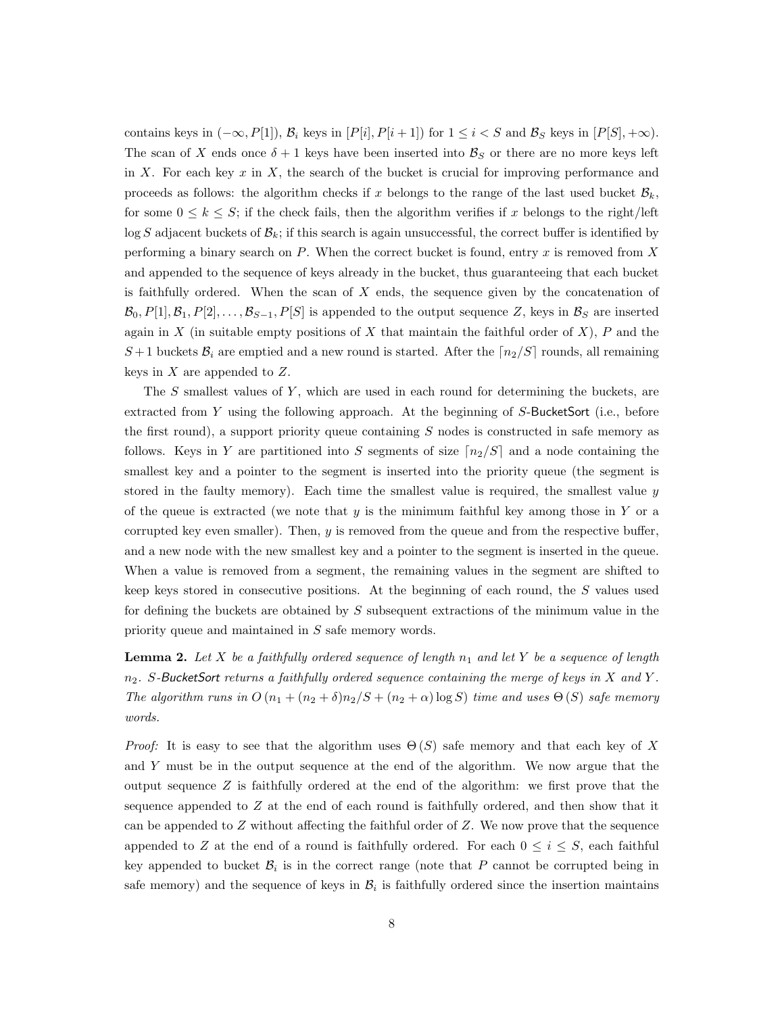contains keys in  $(-\infty, P[1])$ ,  $\mathcal{B}_i$  keys in  $[P[i], P[i+1])$  for  $1 \leq i < S$  and  $\mathcal{B}_S$  keys in  $[P[S], +\infty)$ . The scan of X ends once  $\delta + 1$  keys have been inserted into  $\mathcal{B}_S$  or there are no more keys left in X. For each key  $x$  in  $X$ , the search of the bucket is crucial for improving performance and proceeds as follows: the algorithm checks if x belongs to the range of the last used bucket  $\mathcal{B}_k$ , for some  $0 \leq k \leq S$ ; if the check fails, then the algorithm verifies if x belongs to the right/left log S adjacent buckets of  $\mathcal{B}_k$ ; if this search is again unsuccessful, the correct buffer is identified by performing a binary search on  $P$ . When the correct bucket is found, entry  $x$  is removed from  $X$ and appended to the sequence of keys already in the bucket, thus guaranteeing that each bucket is faithfully ordered. When the scan of  $X$  ends, the sequence given by the concatenation of  $\mathcal{B}_0, P[1], \mathcal{B}_1, P[2], \ldots, \mathcal{B}_{S-1}, P[S]$  is appended to the output sequence Z, keys in  $\mathcal{B}_S$  are inserted again in X (in suitable empty positions of X that maintain the faithful order of  $X$ ),  $P$  and the  $S+1$  buckets  $\mathcal{B}_i$  are emptied and a new round is started. After the  $\lceil n_2/S \rceil$  rounds, all remaining keys in  $X$  are appended to  $Z$ .

The S smallest values of Y, which are used in each round for determining the buckets, are extracted from Y using the following approach. At the beginning of S-BucketSort (i.e., before the first round), a support priority queue containing  $S$  nodes is constructed in safe memory as follows. Keys in Y are partitioned into S segments of size  $\lceil n_2/S \rceil$  and a node containing the smallest key and a pointer to the segment is inserted into the priority queue (the segment is stored in the faulty memory). Each time the smallest value is required, the smallest value  $y$ of the queue is extracted (we note that  $y$  is the minimum faithful key among those in  $Y$  or a corrupted key even smaller). Then,  $y$  is removed from the queue and from the respective buffer, and a new node with the new smallest key and a pointer to the segment is inserted in the queue. When a value is removed from a segment, the remaining values in the segment are shifted to keep keys stored in consecutive positions. At the beginning of each round, the S values used for defining the buckets are obtained by S subsequent extractions of the minimum value in the priority queue and maintained in S safe memory words.

<span id="page-7-0"></span>**Lemma 2.** Let X be a faithfully ordered sequence of length  $n_1$  and let Y be a sequence of length  $n_2$ . S-BucketSort returns a faithfully ordered sequence containing the merge of keys in X and Y. The algorithm runs in  $O(n_1 + (n_2 + \delta)n_2/S + (n_2 + \alpha) \log S)$  time and uses  $\Theta(S)$  safe memory words.

*Proof:* It is easy to see that the algorithm uses  $\Theta(S)$  safe memory and that each key of X and Y must be in the output sequence at the end of the algorithm. We now argue that the output sequence  $Z$  is faithfully ordered at the end of the algorithm: we first prove that the sequence appended to Z at the end of each round is faithfully ordered, and then show that it can be appended to  $Z$  without affecting the faithful order of  $Z$ . We now prove that the sequence appended to Z at the end of a round is faithfully ordered. For each  $0 \leq i \leq S$ , each faithful key appended to bucket  $\mathcal{B}_i$  is in the correct range (note that P cannot be corrupted being in safe memory) and the sequence of keys in  $\mathcal{B}_i$  is faithfully ordered since the insertion maintains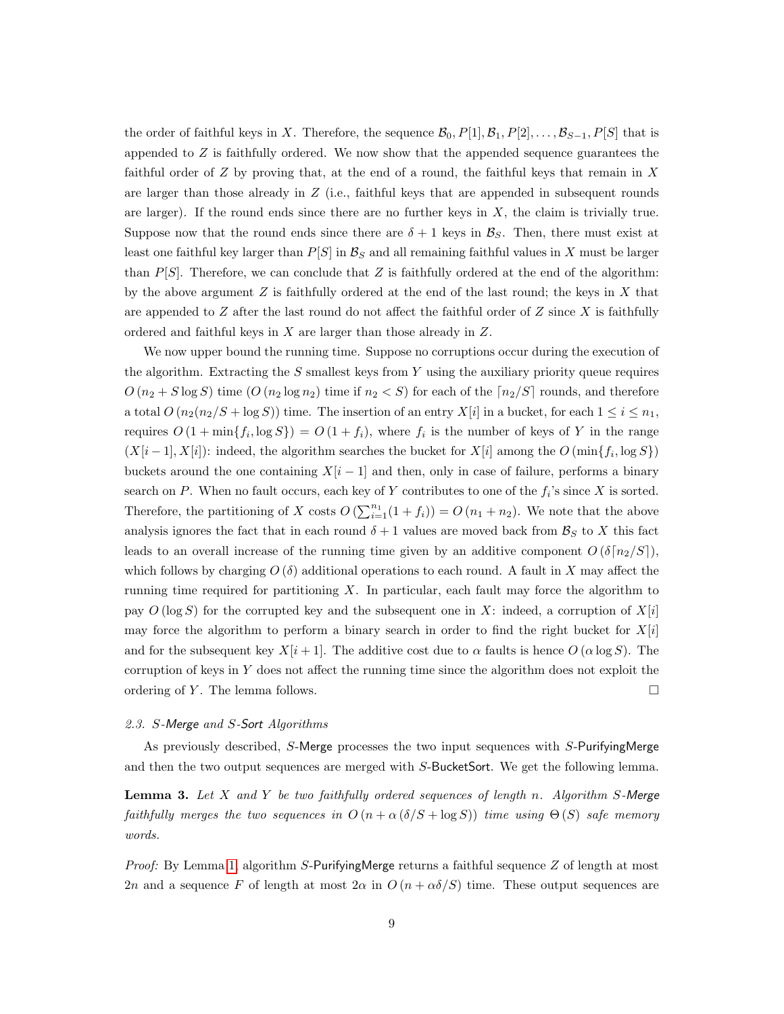the order of faithful keys in X. Therefore, the sequence  $\mathcal{B}_0$ ,  $P[1], \mathcal{B}_1$ ,  $P[2], \ldots, \mathcal{B}_{S-1}$ ,  $P[S]$  that is appended to  $Z$  is faithfully ordered. We now show that the appended sequence guarantees the faithful order of  $Z$  by proving that, at the end of a round, the faithful keys that remain in  $X$ are larger than those already in Z (i.e., faithful keys that are appended in subsequent rounds are larger). If the round ends since there are no further keys in  $X$ , the claim is trivially true. Suppose now that the round ends since there are  $\delta + 1$  keys in  $\mathcal{B}_S$ . Then, there must exist at least one faithful key larger than  $P[S]$  in  $\mathcal{B}_S$  and all remaining faithful values in X must be larger than  $P[S]$ . Therefore, we can conclude that Z is faithfully ordered at the end of the algorithm: by the above argument  $Z$  is faithfully ordered at the end of the last round; the keys in  $X$  that are appended to  $Z$  after the last round do not affect the faithful order of  $Z$  since  $X$  is faithfully ordered and faithful keys in X are larger than those already in Z.

We now upper bound the running time. Suppose no corruptions occur during the execution of the algorithm. Extracting the  $S$  smallest keys from  $Y$  using the auxiliary priority queue requires  $O(n_2 + S \log S)$  time  $O(n_2 \log n_2)$  time if  $n_2 < S$  for each of the  $\lceil n_2/S \rceil$  rounds, and therefore a total  $O(n_2(n_2/S + \log S))$  time. The insertion of an entry  $X[i]$  in a bucket, for each  $1 \leq i \leq n_1$ , requires  $O(1 + \min\{f_i, \log S\}) = O(1 + f_i)$ , where  $f_i$  is the number of keys of Y in the range  $(X[i-1], X[i])$ : indeed, the algorithm searches the bucket for  $X[i]$  among the  $O(\min\{f_i, \log S\})$ buckets around the one containing  $X[i - 1]$  and then, only in case of failure, performs a binary search on P. When no fault occurs, each key of Y contributes to one of the  $f_i$ 's since X is sorted. Therefore, the partitioning of X costs  $O\left(\sum_{i=1}^{n_1}(1+f_i)\right)=O\left(n_1+n_2\right)$ . We note that the above analysis ignores the fact that in each round  $\delta + 1$  values are moved back from  $\mathcal{B}_S$  to X this fact leads to an overall increase of the running time given by an additive component  $O(\delta\lceil n_2/S\rceil)$ , which follows by charging  $O(\delta)$  additional operations to each round. A fault in X may affect the running time required for partitioning  $X$ . In particular, each fault may force the algorithm to pay  $O(\log S)$  for the corrupted key and the subsequent one in X: indeed, a corruption of  $X[i]$ may force the algorithm to perform a binary search in order to find the right bucket for  $X[i]$ and for the subsequent key  $X[i+1]$ . The additive cost due to  $\alpha$  faults is hence  $O(\alpha \log S)$ . The corruption of keys in  $Y$  does not affect the running time since the algorithm does not exploit the ordering of Y. The lemma follows.  $\square$ 

## <span id="page-8-0"></span>2.3. S-Merge and S-Sort Algorithms

As previously described, S-Merge processes the two input sequences with S-PurifyingMerge and then the two output sequences are merged with S-BucketSort. We get the following lemma.

<span id="page-8-1"></span>**Lemma 3.** Let  $X$  and  $Y$  be two faithfully ordered sequences of length n. Algorithm  $S$ -Merge faithfully merges the two sequences in  $O(n + \alpha (\delta/S + \log S))$  time using  $\Theta(S)$  safe memory words.

*Proof:* By Lemma [1,](#page-5-1) algorithm  $S$ -PurifyingMerge returns a faithful sequence  $Z$  of length at most 2n and a sequence F of length at most  $2\alpha$  in  $O(n + \alpha\delta/S)$  time. These output sequences are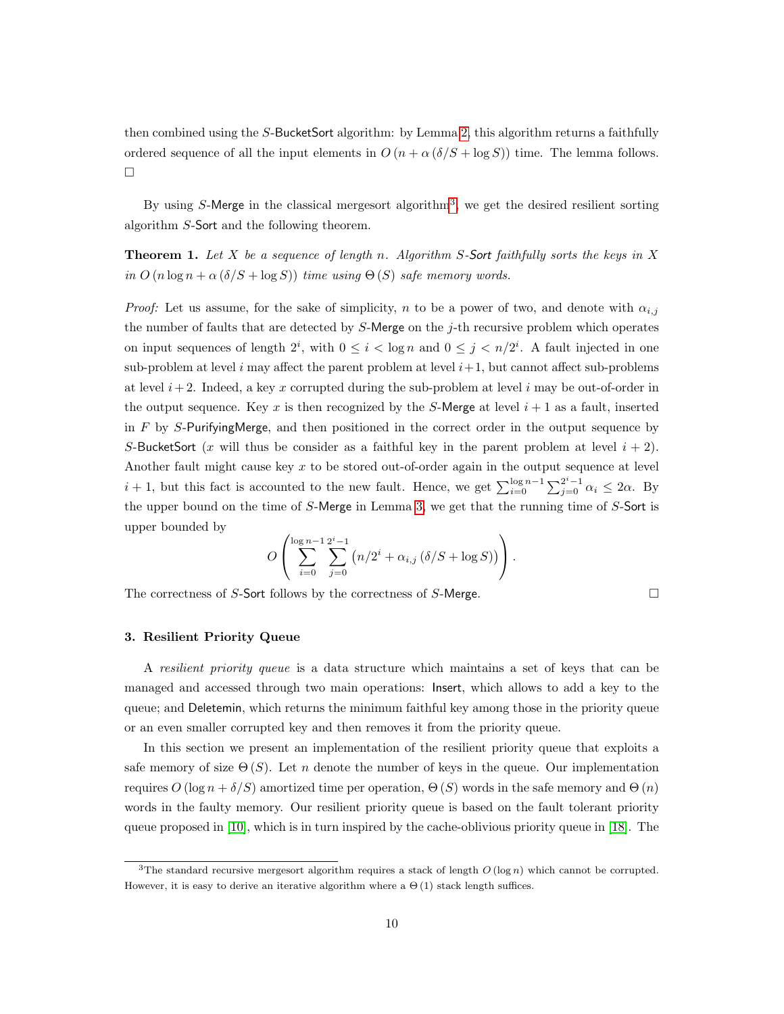then combined using the S-BucketSort algorithm: by Lemma [2,](#page-7-0) this algorithm returns a faithfully ordered sequence of all the input elements in  $O(n + \alpha (\delta/S + \log S))$  time. The lemma follows.  $\Box$ 

By using  $S$ -Merge in the classical mergesort algorithm<sup>[3](#page-9-1)</sup>, we get the desired resilient sorting algorithm S-Sort and the following theorem.

**Theorem 1.** Let X be a sequence of length n. Algorithm S-Sort faithfully sorts the keys in X in  $O(n \log n + \alpha (\delta/S + \log S))$  time using  $\Theta(S)$  safe memory words.

*Proof:* Let us assume, for the sake of simplicity, n to be a power of two, and denote with  $\alpha_{i,j}$ the number of faults that are detected by  $S$ -Merge on the j-th recursive problem which operates on input sequences of length  $2^i$ , with  $0 \leq i < \log n$  and  $0 \leq j < n/2^i$ . A fault injected in one sub-problem at level i may affect the parent problem at level  $i+1$ , but cannot affect sub-problems at level  $i+2$ . Indeed, a key x corrupted during the sub-problem at level i may be out-of-order in the output sequence. Key x is then recognized by the S-Merge at level  $i + 1$  as a fault, inserted in F by S-PurifyingMerge, and then positioned in the correct order in the output sequence by S-BucketSort (x will thus be consider as a faithful key in the parent problem at level  $i + 2$ ). Another fault might cause key x to be stored out-of-order again in the output sequence at level  $i + 1$ , but this fact is accounted to the new fault. Hence, we get  $\sum_{i=0}^{\log n-1} \sum_{j=0}^{2^i-1} \alpha_i \leq 2\alpha$ . By the upper bound on the time of S-Merge in Lemma [3,](#page-8-1) we get that the running time of S-Sort is upper bounded by

$$
O\left(\sum_{i=0}^{\log n-1} \sum_{j=0}^{2^i-1} (n/2^i + \alpha_{i,j} (\delta/S + \log S))\right).
$$

The correctness of S-Sort follows by the correctness of S-Merge.  $\Box$ 

#### <span id="page-9-0"></span>3. Resilient Priority Queue

A resilient priority queue is a data structure which maintains a set of keys that can be managed and accessed through two main operations: Insert, which allows to add a key to the queue; and Deletemin, which returns the minimum faithful key among those in the priority queue or an even smaller corrupted key and then removes it from the priority queue.

In this section we present an implementation of the resilient priority queue that exploits a safe memory of size  $\Theta(S)$ . Let n denote the number of keys in the queue. Our implementation requires  $O(\log n + \delta/S)$  amortized time per operation,  $\Theta(S)$  words in the safe memory and  $\Theta(n)$ words in the faulty memory. Our resilient priority queue is based on the fault tolerant priority queue proposed in  $[10]$ , which is in turn inspired by the cache-oblivious priority queue in [\[18\]](#page-20-6). The

<span id="page-9-1"></span><sup>&</sup>lt;sup>3</sup>The standard recursive mergesort algorithm requires a stack of length  $O(\log n)$  which cannot be corrupted. However, it is easy to derive an iterative algorithm where a  $\Theta(1)$  stack length suffices.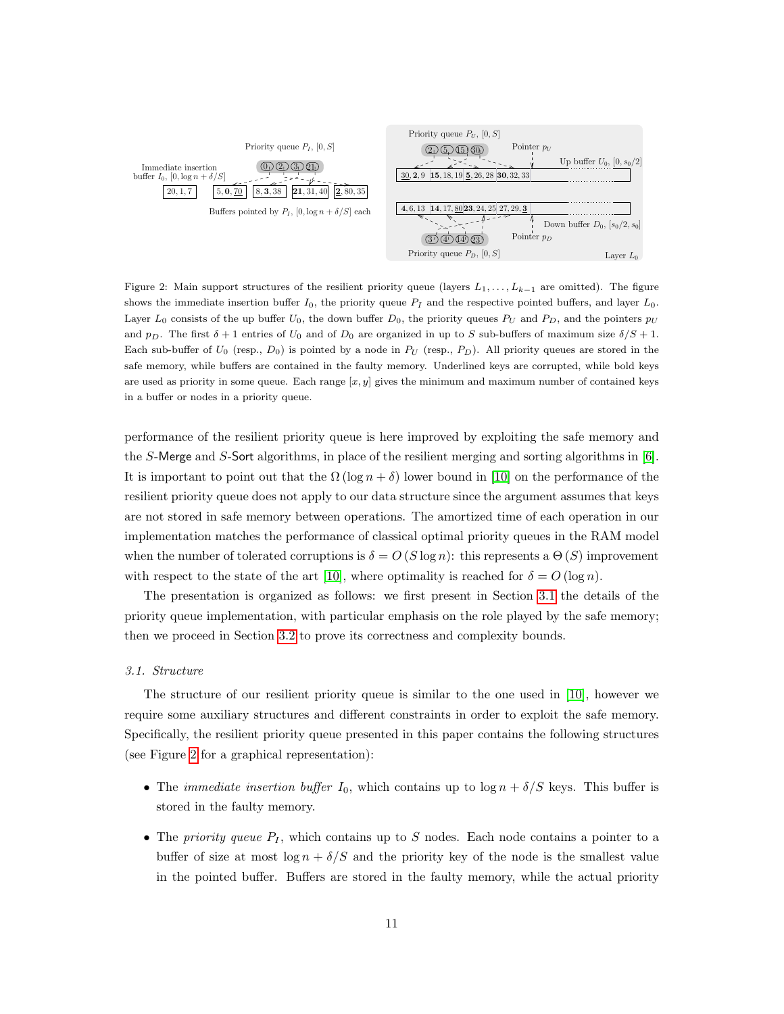

<span id="page-10-1"></span>Figure 2: Main support structures of the resilient priority queue (layers  $L_1, \ldots, L_{k-1}$  are omitted). The figure shows the immediate insertion buffer  $I_0$ , the priority queue  $P_I$  and the respective pointed buffers, and layer  $L_0$ . Layer  $L_0$  consists of the up buffer  $U_0$ , the down buffer  $D_0$ , the priority queues  $P_U$  and  $P_D$ , and the pointers  $p_U$ and  $p<sub>D</sub>$ . The first  $\delta + 1$  entries of  $U<sub>0</sub>$  and of  $D<sub>0</sub>$  are organized in up to S sub-buffers of maximum size  $\delta/S + 1$ . Each sub-buffer of  $U_0$  (resp.,  $D_0$ ) is pointed by a node in  $P_U$  (resp.,  $P_D$ ). All priority queues are stored in the safe memory, while buffers are contained in the faulty memory. Underlined keys are corrupted, while bold keys are used as priority in some queue. Each range  $[x, y]$  gives the minimum and maximum number of contained keys in a buffer or nodes in a priority queue.

performance of the resilient priority queue is here improved by exploiting the safe memory and the S-Merge and S-Sort algorithms, in place of the resilient merging and sorting algorithms in [\[6\]](#page-19-5). It is important to point out that the  $\Omega(\log n + \delta)$  lower bound in [\[10\]](#page-19-9) on the performance of the resilient priority queue does not apply to our data structure since the argument assumes that keys are not stored in safe memory between operations. The amortized time of each operation in our implementation matches the performance of classical optimal priority queues in the RAM model when the number of tolerated corruptions is  $\delta = O(S \log n)$ : this represents a  $\Theta(S)$  improvement with respect to the state of the art [\[10\]](#page-19-9), where optimality is reached for  $\delta = O(\log n)$ .

The presentation is organized as follows: we first present in Section [3.1](#page-10-0) the details of the priority queue implementation, with particular emphasis on the role played by the safe memory; then we proceed in Section [3.2](#page-15-0) to prove its correctness and complexity bounds.

## <span id="page-10-0"></span>3.1. Structure

The structure of our resilient priority queue is similar to the one used in [\[10\]](#page-19-9), however we require some auxiliary structures and different constraints in order to exploit the safe memory. Specifically, the resilient priority queue presented in this paper contains the following structures (see Figure [2](#page-10-1) for a graphical representation):

- The *immediate insertion buffer*  $I_0$ , which contains up to  $\log n + \delta/S$  keys. This buffer is stored in the faulty memory.
- The *priority queue*  $P_I$ , which contains up to S nodes. Each node contains a pointer to a buffer of size at most  $\log n + \delta/S$  and the priority key of the node is the smallest value in the pointed buffer. Buffers are stored in the faulty memory, while the actual priority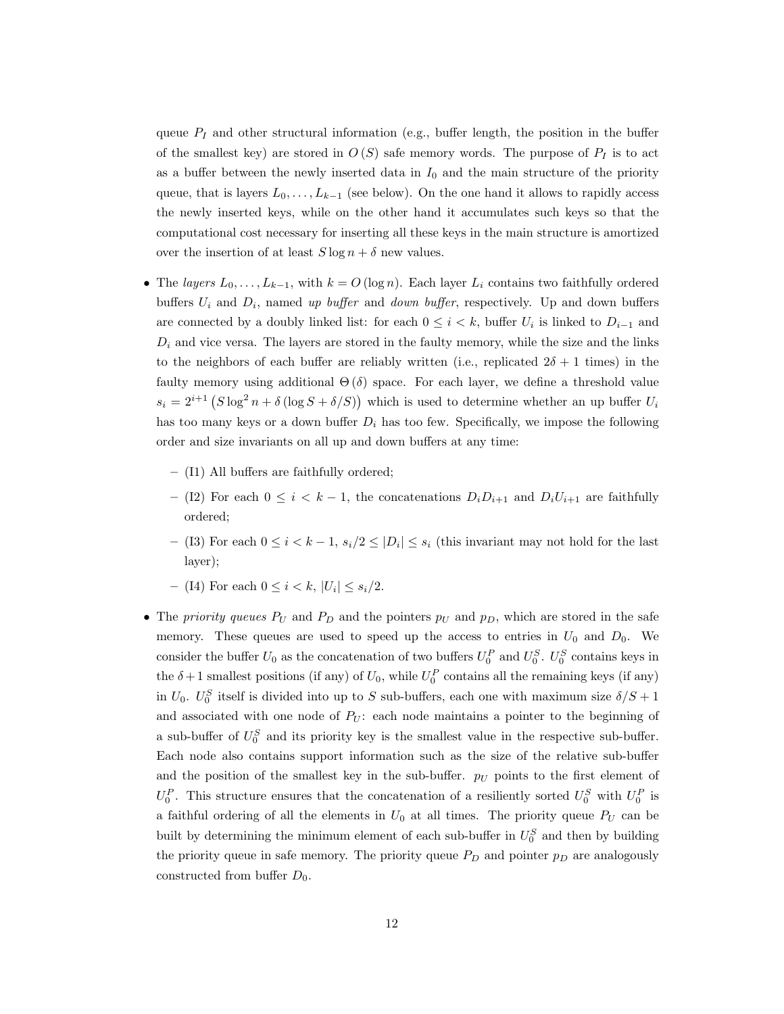queue  $P_I$  and other structural information (e.g., buffer length, the position in the buffer of the smallest key) are stored in  $O(S)$  safe memory words. The purpose of  $P_I$  is to act as a buffer between the newly inserted data in  $I_0$  and the main structure of the priority queue, that is layers  $L_0, \ldots, L_{k-1}$  (see below). On the one hand it allows to rapidly access the newly inserted keys, while on the other hand it accumulates such keys so that the computational cost necessary for inserting all these keys in the main structure is amortized over the insertion of at least  $S \log n + \delta$  new values.

- The layers  $L_0, \ldots, L_{k-1}$ , with  $k = O(\log n)$ . Each layer  $L_i$  contains two faithfully ordered buffers  $U_i$  and  $D_i$ , named up buffer and down buffer, respectively. Up and down buffers are connected by a doubly linked list: for each  $0 \leq i \leq k$ , buffer  $U_i$  is linked to  $D_{i-1}$  and  $D_i$  and vice versa. The layers are stored in the faulty memory, while the size and the links to the neighbors of each buffer are reliably written (i.e., replicated  $2\delta + 1$  times) in the faulty memory using additional  $\Theta(\delta)$  space. For each layer, we define a threshold value  $s_i = 2^{i+1} (S \log^2 n + \delta (\log S + \delta/S))$  which is used to determine whether an up buffer  $U_i$ has too many keys or a down buffer  $D_i$  has too few. Specifically, we impose the following order and size invariants on all up and down buffers at any time:
	- (I1) All buffers are faithfully ordered;
	- (I2) For each  $0 \leq i \leq k-1$ , the concatenations  $D_i D_{i+1}$  and  $D_i U_{i+1}$  are faithfully ordered;
	- $-$  (I3) For each 0 ≤ i < k − 1, s<sub>i</sub>/2 ≤ |D<sub>i</sub>| ≤ s<sub>i</sub> (this invariant may not hold for the last layer);
	- $-$  (I4) For each  $0 \le i \le k$ ,  $|U_i| \le s_i/2$ .
- The priority queues  $P_U$  and  $P_D$  and the pointers  $p_U$  and  $p_D$ , which are stored in the safe memory. These queues are used to speed up the access to entries in  $U_0$  and  $D_0$ . We consider the buffer  $U_0$  as the concatenation of two buffers  $U_0^P$  and  $U_0^S$ .  $U_0^S$  contains keys in the  $\delta + 1$  smallest positions (if any) of  $U_0$ , while  $U_0^P$  contains all the remaining keys (if any) in  $U_0$ .  $U_0^S$  itself is divided into up to S sub-buffers, each one with maximum size  $\delta/S + 1$ and associated with one node of  $P_U$ : each node maintains a pointer to the beginning of a sub-buffer of  $U_0^S$  and its priority key is the smallest value in the respective sub-buffer. Each node also contains support information such as the size of the relative sub-buffer and the position of the smallest key in the sub-buffer.  $p_U$  points to the first element of  $U_0^P$ . This structure ensures that the concatenation of a resiliently sorted  $U_0^S$  with  $U_0^P$  is a faithful ordering of all the elements in  $U_0$  at all times. The priority queue  $P_U$  can be built by determining the minimum element of each sub-buffer in  $U_0^S$  and then by building the priority queue in safe memory. The priority queue  $P_D$  and pointer  $p_D$  are analogously constructed from buffer  $D_0$ .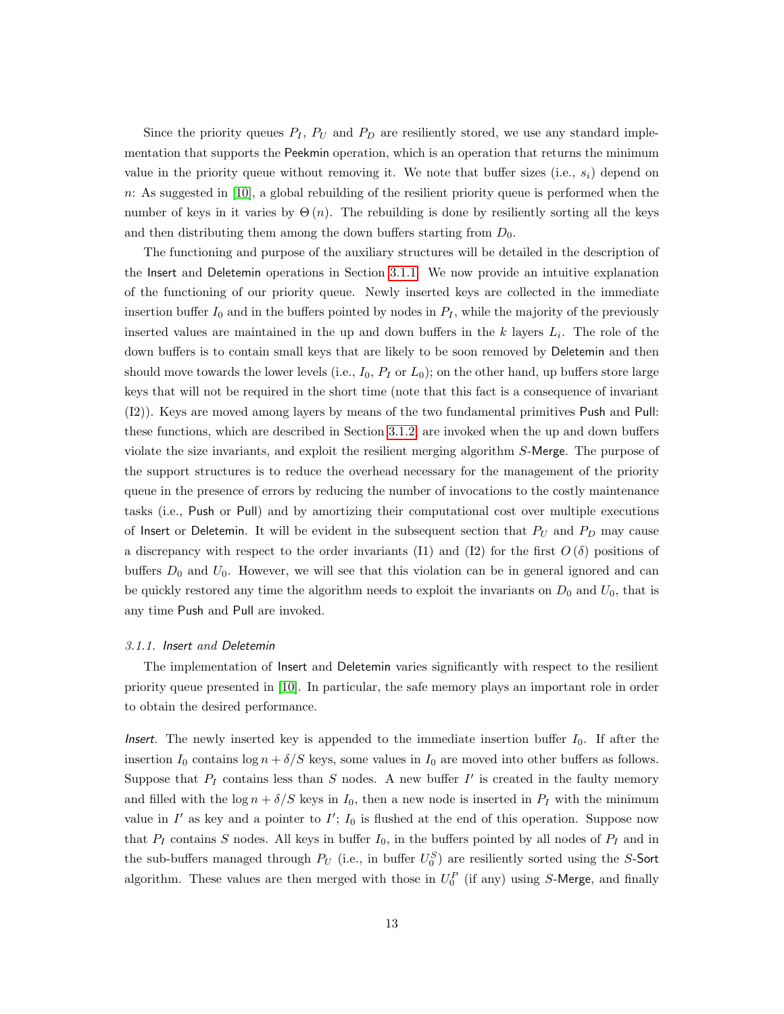Since the priority queues  $P_I$ ,  $P_U$  and  $P_D$  are resiliently stored, we use any standard implementation that supports the Peekmin operation, which is an operation that returns the minimum value in the priority queue without removing it. We note that buffer sizes (i.e.,  $s_i$ ) depend on n: As suggested in [\[10\]](#page-19-9), a global rebuilding of the resilient priority queue is performed when the number of keys in it varies by  $\Theta(n)$ . The rebuilding is done by resiliently sorting all the keys and then distributing them among the down buffers starting from  $D_0$ .

The functioning and purpose of the auxiliary structures will be detailed in the description of the Insert and Deletemin operations in Section [3.1.1.](#page-12-0) We now provide an intuitive explanation of the functioning of our priority queue. Newly inserted keys are collected in the immediate insertion buffer  $I_0$  and in the buffers pointed by nodes in  $P_I$ , while the majority of the previously inserted values are maintained in the up and down buffers in the  $k$  layers  $L_i$ . The role of the down buffers is to contain small keys that are likely to be soon removed by Deletemin and then should move towards the lower levels (i.e.,  $I_0$ ,  $P_I$  or  $L_0$ ); on the other hand, up buffers store large keys that will not be required in the short time (note that this fact is a consequence of invariant (I2)). Keys are moved among layers by means of the two fundamental primitives Push and Pull: these functions, which are described in Section [3.1.2,](#page-14-0) are invoked when the up and down buffers violate the size invariants, and exploit the resilient merging algorithm S-Merge. The purpose of the support structures is to reduce the overhead necessary for the management of the priority queue in the presence of errors by reducing the number of invocations to the costly maintenance tasks (i.e., Push or Pull) and by amortizing their computational cost over multiple executions of Insert or Deletemin. It will be evident in the subsequent section that  $P_U$  and  $P_D$  may cause a discrepancy with respect to the order invariants (I1) and (I2) for the first  $O(\delta)$  positions of buffers  $D_0$  and  $U_0$ . However, we will see that this violation can be in general ignored and can be quickly restored any time the algorithm needs to exploit the invariants on  $D_0$  and  $U_0$ , that is any time Push and Pull are invoked.

#### <span id="page-12-0"></span>3.1.1. Insert and Deletemin

The implementation of Insert and Deletemin varies significantly with respect to the resilient priority queue presented in [\[10\]](#page-19-9). In particular, the safe memory plays an important role in order to obtain the desired performance.

Insert. The newly inserted key is appended to the immediate insertion buffer  $I_0$ . If after the insertion  $I_0$  contains  $\log n + \delta/S$  keys, some values in  $I_0$  are moved into other buffers as follows. Suppose that  $P_I$  contains less than S nodes. A new buffer  $I'$  is created in the faulty memory and filled with the log  $n + \delta/S$  keys in  $I_0$ , then a new node is inserted in  $P_I$  with the minimum value in  $I'$  as key and a pointer to  $I'$ ;  $I_0$  is flushed at the end of this operation. Suppose now that  $P_I$  contains S nodes. All keys in buffer  $I_0$ , in the buffers pointed by all nodes of  $P_I$  and in the sub-buffers managed through  $P_U$  (i.e., in buffer  $U_0^S$ ) are resiliently sorted using the S-Sort algorithm. These values are then merged with those in  $U_0^P$  (if any) using S-Merge, and finally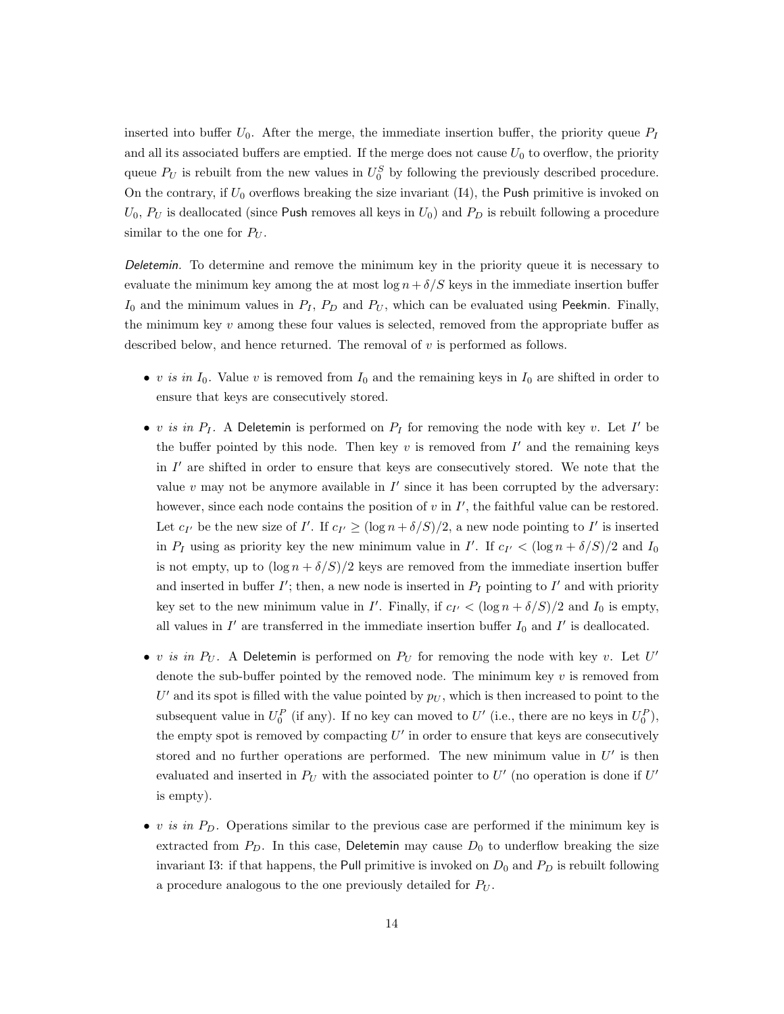inserted into buffer  $U_0$ . After the merge, the immediate insertion buffer, the priority queue  $P_I$ and all its associated buffers are emptied. If the merge does not cause  $U_0$  to overflow, the priority queue  $P_U$  is rebuilt from the new values in  $U_0^S$  by following the previously described procedure. On the contrary, if  $U_0$  overflows breaking the size invariant  $(I4)$ , the Push primitive is invoked on  $U_0$ ,  $P_U$  is deallocated (since Push removes all keys in  $U_0$ ) and  $P_D$  is rebuilt following a procedure similar to the one for  $P_U$ .

Deletemin. To determine and remove the minimum key in the priority queue it is necessary to evaluate the minimum key among the at most  $\log n + \delta/S$  keys in the immediate insertion buffer  $I_0$  and the minimum values in  $P_I$ ,  $P_D$  and  $P_U$ , which can be evaluated using Peekmin. Finally, the minimum key  $v$  among these four values is selected, removed from the appropriate buffer as described below, and hence returned. The removal of  $v$  is performed as follows.

- v is in  $I_0$ . Value v is removed from  $I_0$  and the remaining keys in  $I_0$  are shifted in order to ensure that keys are consecutively stored.
- v is in  $P_I$ . A Deletemin is performed on  $P_I$  for removing the node with key v. Let  $I'$  be the buffer pointed by this node. Then key  $v$  is removed from  $I'$  and the remaining keys in  $I'$  are shifted in order to ensure that keys are consecutively stored. We note that the value  $v$  may not be anymore available in  $I'$  since it has been corrupted by the adversary: however, since each node contains the position of  $v$  in  $I'$ , the faithful value can be restored. Let  $c_{I'}$  be the new size of I'. If  $c_{I'} \geq (\log n + \delta/S)/2$ , a new node pointing to I' is inserted in  $P_I$  using as priority key the new minimum value in I'. If  $c_{I'} < (\log n + \delta/S)/2$  and  $I_0$ is not empty, up to  $(\log n + \delta/S)/2$  keys are removed from the immediate insertion buffer and inserted in buffer  $I'$ ; then, a new node is inserted in  $P_I$  pointing to  $I'$  and with priority key set to the new minimum value in I'. Finally, if  $c_{I'} < (\log n + \delta/S)/2$  and  $I_0$  is empty, all values in  $I'$  are transferred in the immediate insertion buffer  $I_0$  and  $I'$  is deallocated.
- v is in  $P_U$ . A Deletemin is performed on  $P_U$  for removing the node with key v. Let  $U'$ denote the sub-buffer pointed by the removed node. The minimum key  $v$  is removed from  $U'$  and its spot is filled with the value pointed by  $p_U$ , which is then increased to point to the subsequent value in  $U_0^P$  (if any). If no key can moved to  $U'$  (i.e., there are no keys in  $U_0^P$ ), the empty spot is removed by compacting  $U'$  in order to ensure that keys are consecutively stored and no further operations are performed. The new minimum value in  $U'$  is then evaluated and inserted in  $P_U$  with the associated pointer to U' (no operation is done if U' is empty).
- $v$  is in  $P_D$ . Operations similar to the previous case are performed if the minimum key is extracted from  $P_D$ . In this case, Deletemin may cause  $D_0$  to underflow breaking the size invariant I3: if that happens, the Pull primitive is invoked on  $D_0$  and  $P_D$  is rebuilt following a procedure analogous to the one previously detailed for  $P_U$ .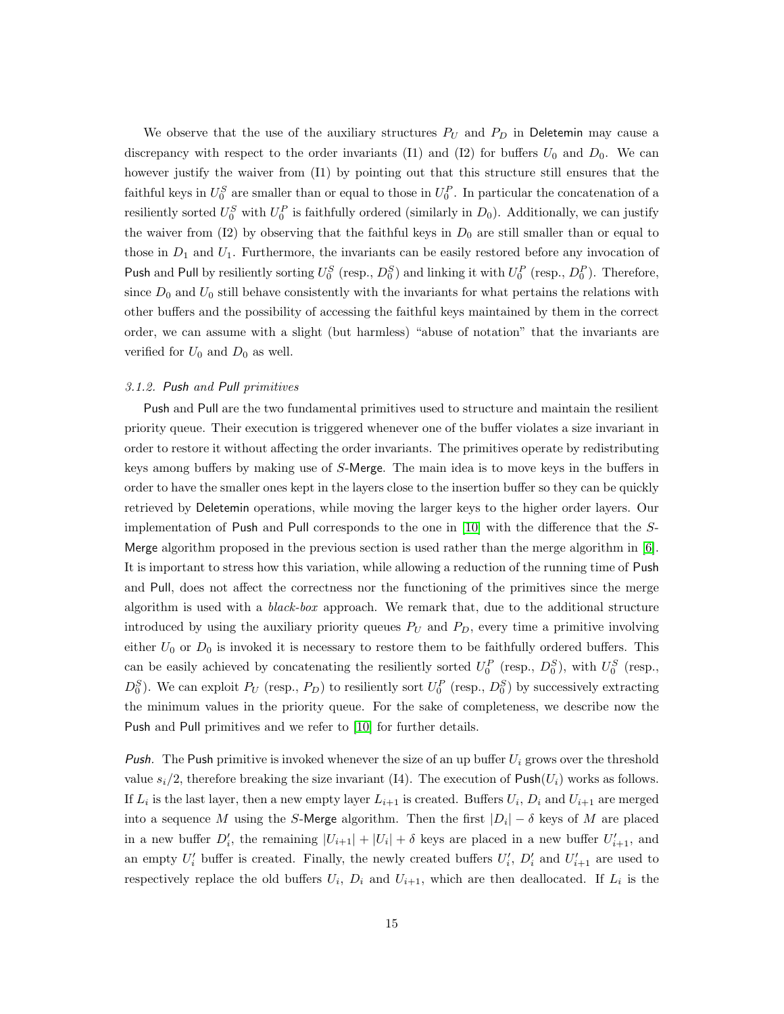We observe that the use of the auxiliary structures  $P_U$  and  $P_D$  in Deletemin may cause a discrepancy with respect to the order invariants (I1) and (I2) for buffers  $U_0$  and  $D_0$ . We can however justify the waiver from (I1) by pointing out that this structure still ensures that the faithful keys in  $U_0^S$  are smaller than or equal to those in  $U_0^P$ . In particular the concatenation of a resiliently sorted  $U_0^S$  with  $U_0^P$  is faithfully ordered (similarly in  $D_0$ ). Additionally, we can justify the waiver from  $(12)$  by observing that the faithful keys in  $D_0$  are still smaller than or equal to those in  $D_1$  and  $U_1$ . Furthermore, the invariants can be easily restored before any invocation of Push and Pull by resiliently sorting  $U_0^S$  (resp.,  $D_0^S$ ) and linking it with  $U_0^P$  (resp.,  $D_0^P$ ). Therefore, since  $D_0$  and  $U_0$  still behave consistently with the invariants for what pertains the relations with other buffers and the possibility of accessing the faithful keys maintained by them in the correct order, we can assume with a slight (but harmless) "abuse of notation" that the invariants are verified for  $U_0$  and  $D_0$  as well.

# <span id="page-14-0"></span>3.1.2. Push and Pull primitives

Push and Pull are the two fundamental primitives used to structure and maintain the resilient priority queue. Their execution is triggered whenever one of the buffer violates a size invariant in order to restore it without affecting the order invariants. The primitives operate by redistributing keys among buffers by making use of S-Merge. The main idea is to move keys in the buffers in order to have the smaller ones kept in the layers close to the insertion buffer so they can be quickly retrieved by Deletemin operations, while moving the larger keys to the higher order layers. Our implementation of Push and Pull corresponds to the one in [\[10\]](#page-19-9) with the difference that the S-Merge algorithm proposed in the previous section is used rather than the merge algorithm in [\[6\]](#page-19-5). It is important to stress how this variation, while allowing a reduction of the running time of Push and Pull, does not affect the correctness nor the functioning of the primitives since the merge algorithm is used with a black-box approach. We remark that, due to the additional structure introduced by using the auxiliary priority queues  $P_U$  and  $P_D$ , every time a primitive involving either  $U_0$  or  $D_0$  is invoked it is necessary to restore them to be faithfully ordered buffers. This can be easily achieved by concatenating the resiliently sorted  $U_0^P$  (resp.,  $D_0^S$ ), with  $U_0^S$  (resp.,  $D_0^S$ ). We can exploit  $P_U$  (resp.,  $P_D$ ) to resiliently sort  $U_0^P$  (resp.,  $D_0^S$ ) by successively extracting the minimum values in the priority queue. For the sake of completeness, we describe now the Push and Pull primitives and we refer to [\[10\]](#page-19-9) for further details.

**Push.** The Push primitive is invoked whenever the size of an up buffer  $U_i$  grows over the threshold value  $s_i/2$ , therefore breaking the size invariant (I4). The execution of Push( $U_i$ ) works as follows. If  $L_i$  is the last layer, then a new empty layer  $L_{i+1}$  is created. Buffers  $U_i$ ,  $D_i$  and  $U_{i+1}$  are merged into a sequence M using the S-Merge algorithm. Then the first  $|D_i| - \delta$  keys of M are placed in a new buffer  $D'_i$ , the remaining  $|U_{i+1}| + |U_i| + \delta$  keys are placed in a new buffer  $U'_{i+1}$ , and an empty  $U_i'$  buffer is created. Finally, the newly created buffers  $U_i', D_i'$  and  $U_{i+1}'$  are used to respectively replace the old buffers  $U_i$ ,  $D_i$  and  $U_{i+1}$ , which are then deallocated. If  $L_i$  is the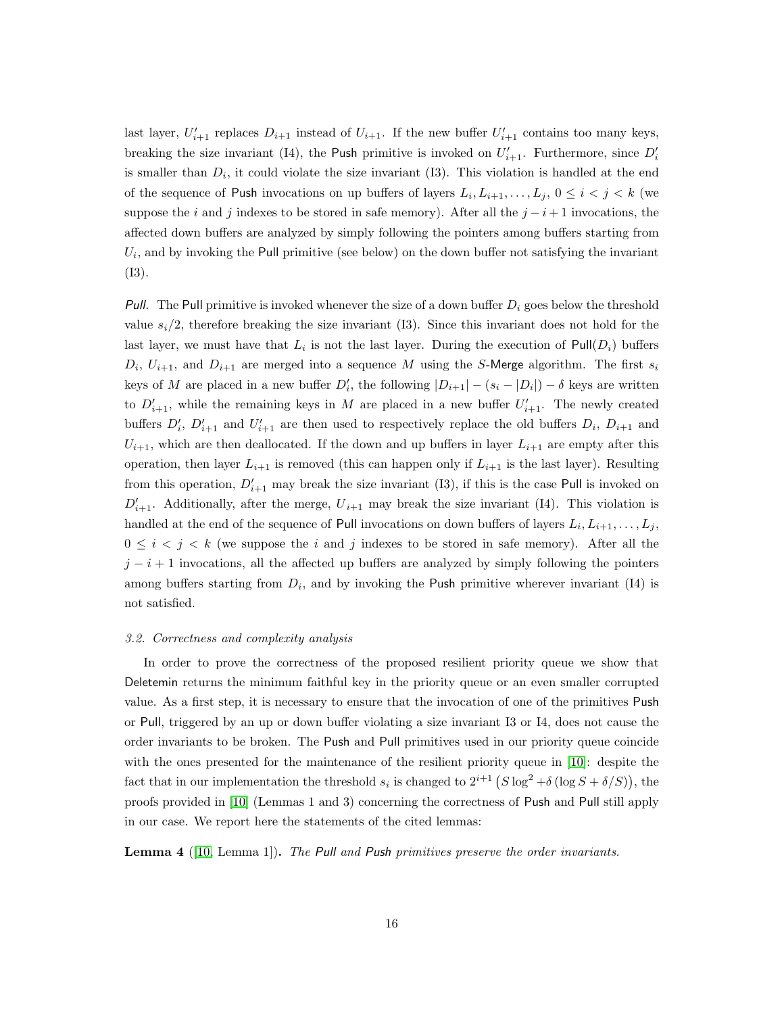last layer,  $U'_{i+1}$  replaces  $D_{i+1}$  instead of  $U_{i+1}$ . If the new buffer  $U'_{i+1}$  contains too many keys, breaking the size invariant (I4), the Push primitive is invoked on  $U'_{i+1}$ . Furthermore, since  $D'_{i}$ is smaller than  $D_i$ , it could violate the size invariant (I3). This violation is handled at the end of the sequence of Push invocations on up buffers of layers  $L_i, L_{i+1}, \ldots, L_j, 0 \leq i < j < k$  (we suppose the i and j indexes to be stored in safe memory). After all the  $j - i + 1$  invocations, the affected down buffers are analyzed by simply following the pointers among buffers starting from  $U_i$ , and by invoking the Pull primitive (see below) on the down buffer not satisfying the invariant (I3).

Pull. The Pull primitive is invoked whenever the size of a down buffer  $D_i$  goes below the threshold value  $s_i/2$ , therefore breaking the size invariant (I3). Since this invariant does not hold for the last layer, we must have that  $L_i$  is not the last layer. During the execution of  $\text{Pull}(D_i)$  buffers  $D_i$ ,  $U_{i+1}$ , and  $D_{i+1}$  are merged into a sequence M using the S-Merge algorithm. The first  $s_i$ keys of M are placed in a new buffer  $D'_i$ , the following  $|D_{i+1}| - (s_i - |D_i|) - \delta$  keys are written to  $D'_{i+1}$ , while the remaining keys in M are placed in a new buffer  $U'_{i+1}$ . The newly created buffers  $D'_i$ ,  $D'_{i+1}$  and  $U'_{i+1}$  are then used to respectively replace the old buffers  $D_i$ ,  $D_{i+1}$  and  $U_{i+1}$ , which are then deallocated. If the down and up buffers in layer  $L_{i+1}$  are empty after this operation, then layer  $L_{i+1}$  is removed (this can happen only if  $L_{i+1}$  is the last layer). Resulting from this operation,  $D'_{i+1}$  may break the size invariant (I3), if this is the case Pull is invoked on  $D'_{i+1}$ . Additionally, after the merge,  $U_{i+1}$  may break the size invariant (I4). This violation is handled at the end of the sequence of Pull invocations on down buffers of layers  $L_i, L_{i+1}, \ldots, L_j$ ,  $0 \leq i \leq j \leq k$  (we suppose the i and j indexes to be stored in safe memory). After all the  $j - i + 1$  invocations, all the affected up buffers are analyzed by simply following the pointers among buffers starting from  $D_i$ , and by invoking the Push primitive wherever invariant (I4) is not satisfied.

## <span id="page-15-0"></span>3.2. Correctness and complexity analysis

In order to prove the correctness of the proposed resilient priority queue we show that Deletemin returns the minimum faithful key in the priority queue or an even smaller corrupted value. As a first step, it is necessary to ensure that the invocation of one of the primitives Push or Pull, triggered by an up or down buffer violating a size invariant I3 or I4, does not cause the order invariants to be broken. The Push and Pull primitives used in our priority queue coincide with the ones presented for the maintenance of the resilient priority queue in [\[10\]](#page-19-9): despite the fact that in our implementation the threshold  $s_i$  is changed to  $2^{i+1} (S \log^2 + \delta (\log S + \delta/S))$ , the proofs provided in [\[10\]](#page-19-9) (Lemmas 1 and 3) concerning the correctness of Push and Pull still apply in our case. We report here the statements of the cited lemmas:

<span id="page-15-1"></span>Lemma 4 ([\[10,](#page-19-9) Lemma 1]). The Pull and Push primitives preserve the order invariants.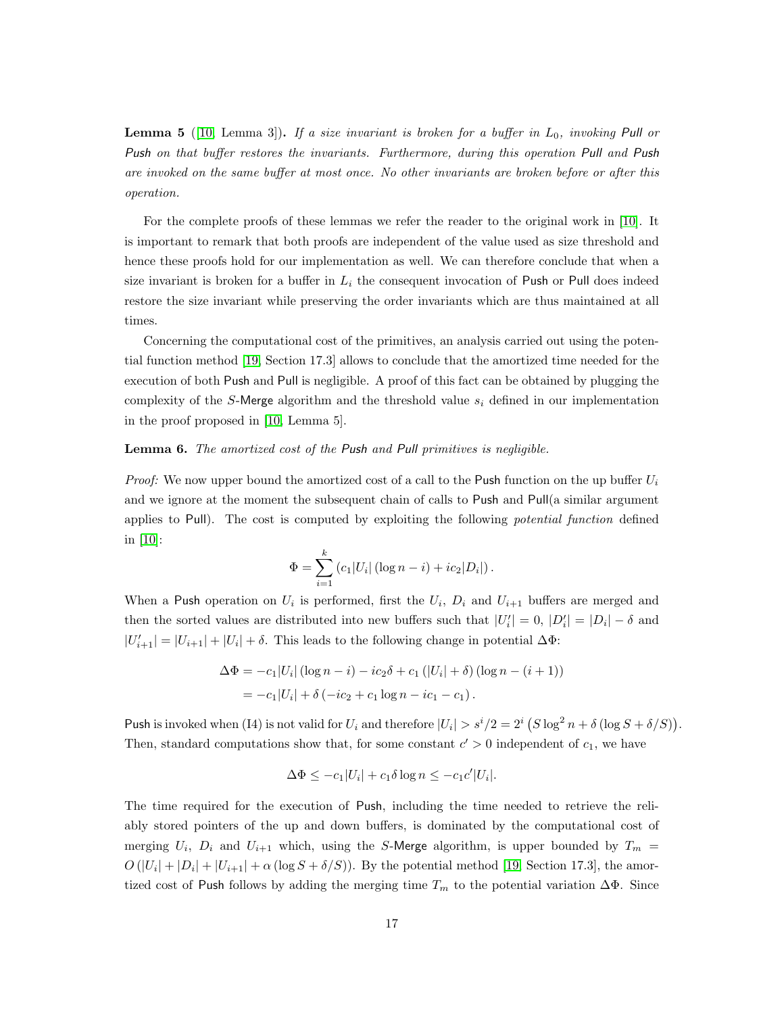<span id="page-16-0"></span>**Lemma 5** ([\[10,](#page-19-9) Lemma 3]). If a size invariant is broken for a buffer in  $L_0$ , invoking Pull or Push on that buffer restores the invariants. Furthermore, during this operation Pull and Push are invoked on the same buffer at most once. No other invariants are broken before or after this operation.

For the complete proofs of these lemmas we refer the reader to the original work in [\[10\]](#page-19-9). It is important to remark that both proofs are independent of the value used as size threshold and hence these proofs hold for our implementation as well. We can therefore conclude that when a size invariant is broken for a buffer in  $L_i$  the consequent invocation of Push or Pull does indeed restore the size invariant while preserving the order invariants which are thus maintained at all times.

Concerning the computational cost of the primitives, an analysis carried out using the potential function method [\[19,](#page-20-7) Section 17.3] allows to conclude that the amortized time needed for the execution of both Push and Pull is negligible. A proof of this fact can be obtained by plugging the complexity of the S-Merge algorithm and the threshold value  $s_i$  defined in our implementation in the proof proposed in [\[10,](#page-19-9) Lemma 5].

# <span id="page-16-1"></span>Lemma 6. The amortized cost of the Push and Pull primitives is negligible.

*Proof:* We now upper bound the amortized cost of a call to the Push function on the up buffer  $U_i$ and we ignore at the moment the subsequent chain of calls to Push and Pull(a similar argument applies to Pull). The cost is computed by exploiting the following *potential function* defined in [\[10\]](#page-19-9):

$$
\Phi = \sum_{i=1}^{k} (c_1 |U_i| (\log n - i) + ic_2 |D_i|).
$$

When a Push operation on  $U_i$  is performed, first the  $U_i$ ,  $D_i$  and  $U_{i+1}$  buffers are merged and then the sorted values are distributed into new buffers such that  $|U_i'| = 0$ ,  $|D_i'| = |D_i| - \delta$  and  $|U'_{i+1}| = |U_{i+1}| + |U_i| + \delta$ . This leads to the following change in potential  $\Delta \Phi$ :

$$
\Delta \Phi = -c_1 |U_i| (\log n - i) - ic_2 \delta + c_1 (|U_i| + \delta) (\log n - (i + 1))
$$
  
=  $-c_1 |U_i| + \delta (-ic_2 + c_1 \log n - ic_1 - c_1).$ 

Push is invoked when (I4) is not valid for  $U_i$  and therefore  $|U_i| > s^i/2 = 2^i (S \log^2 n + \delta (\log S + \delta/S)).$ Then, standard computations show that, for some constant  $c' > 0$  independent of  $c_1$ , we have

$$
\Delta \Phi \le -c_1|U_i| + c_1 \delta \log n \le -c_1 c'|U_i|.
$$

The time required for the execution of Push, including the time needed to retrieve the reliably stored pointers of the up and down buffers, is dominated by the computational cost of merging  $U_i$ ,  $D_i$  and  $U_{i+1}$  which, using the S-Merge algorithm, is upper bounded by  $T_m$  =  $O(|U_i| + |D_i| + |U_{i+1}| + \alpha(\log S + \delta/S))$ . By the potential method [\[19,](#page-20-7) Section 17.3], the amortized cost of Push follows by adding the merging time  $T_m$  to the potential variation  $\Delta\Phi$ . Since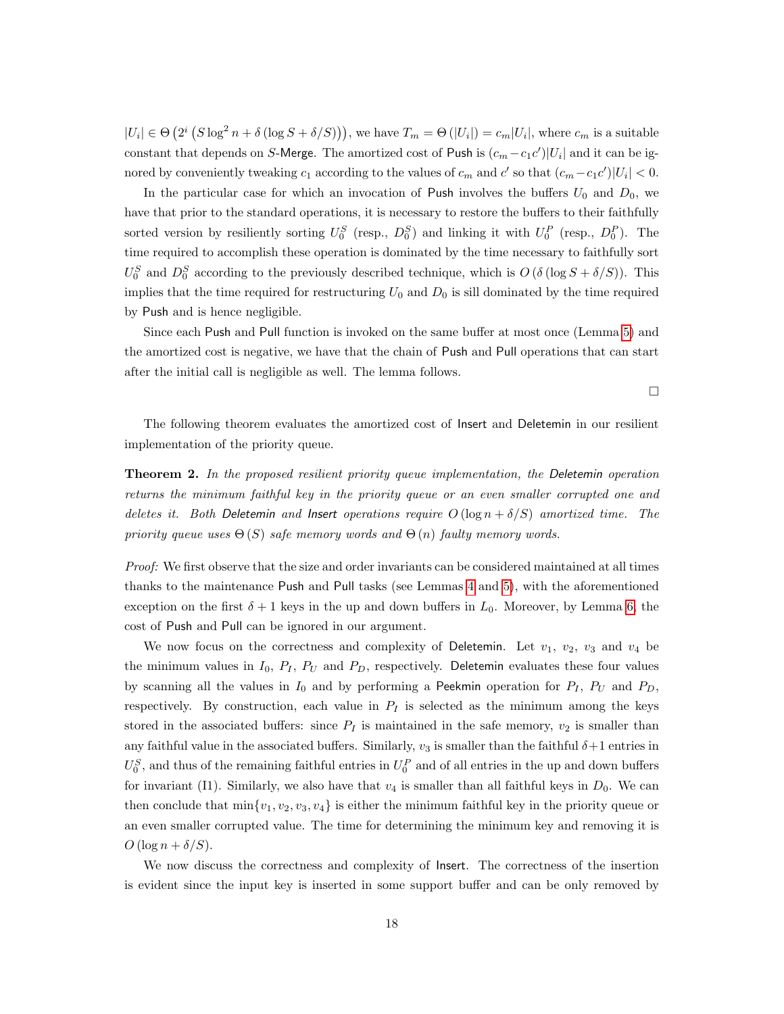$|U_i| \in \Theta\left(2^i \left(S \log^2 n + \delta(\log S + \delta/S)\right)\right),\$ we have  $T_m = \Theta(|U_i|) = c_m |U_i|$ , where  $c_m$  is a suitable constant that depends on S-Merge. The amortized cost of Push is  $(c_m - c_1 c') |U_i|$  and it can be ignored by conveniently tweaking  $c_1$  according to the values of  $c_m$  and  $c'$  so that  $(c_m - c_1 c')|U_i| < 0$ .

In the particular case for which an invocation of Push involves the buffers  $U_0$  and  $D_0$ , we have that prior to the standard operations, it is necessary to restore the buffers to their faithfully sorted version by resiliently sorting  $U_0^S$  (resp.,  $D_0^S$ ) and linking it with  $U_0^P$  (resp.,  $D_0^P$ ). The time required to accomplish these operation is dominated by the time necessary to faithfully sort  $U_0^S$  and  $D_0^S$  according to the previously described technique, which is  $O(\delta (\log S + \delta/S))$ . This implies that the time required for restructuring  $U_0$  and  $D_0$  is sill dominated by the time required by Push and is hence negligible.

Since each Push and Pull function is invoked on the same buffer at most once (Lemma [5\)](#page-16-0) and the amortized cost is negative, we have that the chain of Push and Pull operations that can start after the initial call is negligible as well. The lemma follows.

The following theorem evaluates the amortized cost of Insert and Deletemin in our resilient implementation of the priority queue.

**Theorem 2.** In the proposed resilient priority queue implementation, the Deletemin operation returns the minimum faithful key in the priority queue or an even smaller corrupted one and deletes it. Both Deletemin and Insert operations require  $O(\log n + \delta/S)$  amortized time. The priority queue uses  $\Theta(S)$  safe memory words and  $\Theta(n)$  faulty memory words.

Proof: We first observe that the size and order invariants can be considered maintained at all times thanks to the maintenance Push and Pull tasks (see Lemmas [4](#page-15-1) and [5\)](#page-16-0), with the aforementioned exception on the first  $\delta + 1$  keys in the up and down buffers in  $L_0$ . Moreover, by Lemma [6,](#page-16-1) the cost of Push and Pull can be ignored in our argument.

We now focus on the correctness and complexity of Deletemin. Let  $v_1$ ,  $v_2$ ,  $v_3$  and  $v_4$  be the minimum values in  $I_0$ ,  $P_I$ ,  $P_U$  and  $P_D$ , respectively. Deletemin evaluates these four values by scanning all the values in  $I_0$  and by performing a Peekmin operation for  $P_I$ ,  $P_U$  and  $P_D$ , respectively. By construction, each value in  $P_I$  is selected as the minimum among the keys stored in the associated buffers: since  $P_I$  is maintained in the safe memory,  $v_2$  is smaller than any faithful value in the associated buffers. Similarly,  $v_3$  is smaller than the faithful  $\delta+1$  entries in  $U_0^S$ , and thus of the remaining faithful entries in  $U_0^P$  and of all entries in the up and down buffers for invariant (I1). Similarly, we also have that  $v_4$  is smaller than all faithful keys in  $D_0$ . We can then conclude that  $\min\{v_1, v_2, v_3, v_4\}$  is either the minimum faithful key in the priority queue or an even smaller corrupted value. The time for determining the minimum key and removing it is  $O(\log n + \delta/S).$ 

We now discuss the correctness and complexity of Insert. The correctness of the insertion is evident since the input key is inserted in some support buffer and can be only removed by

 $\Box$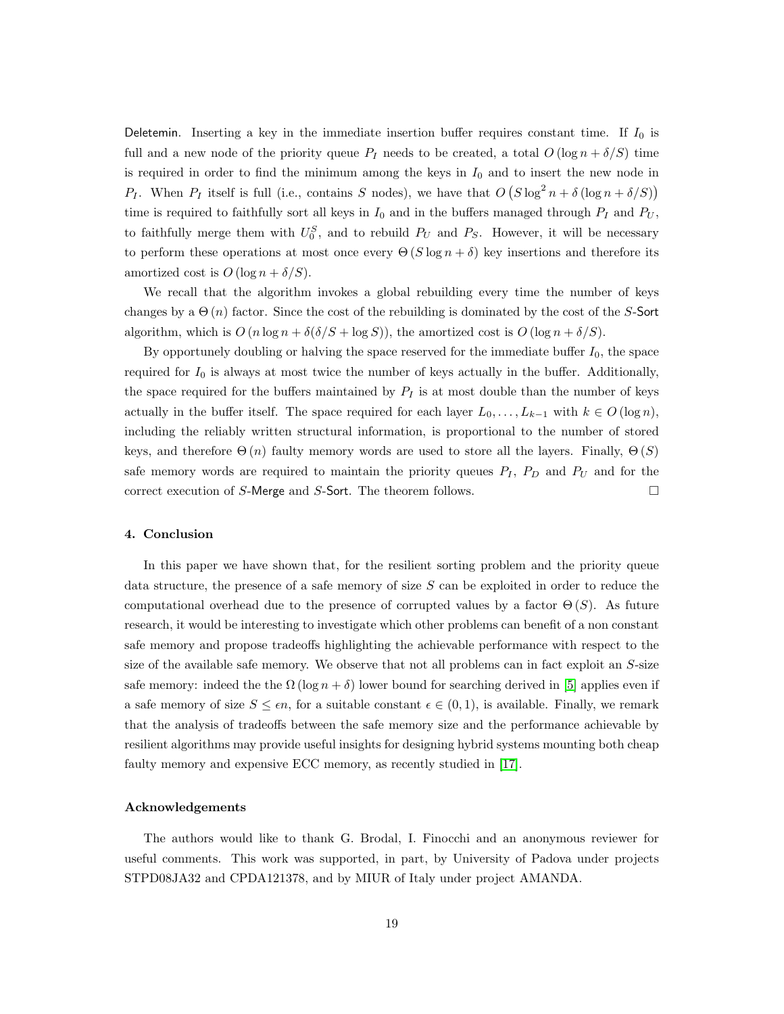Deletemin. Inserting a key in the immediate insertion buffer requires constant time. If  $I_0$  is full and a new node of the priority queue  $P_I$  needs to be created, a total  $O(\log n + \delta/S)$  time is required in order to find the minimum among the keys in  $I_0$  and to insert the new node in P<sub>I</sub>. When P<sub>I</sub> itself is full (i.e., contains S nodes), we have that  $O(S \log^2 n + \delta (\log n + \delta/S))$ time is required to faithfully sort all keys in  $I_0$  and in the buffers managed through  $P_I$  and  $P_U$ , to faithfully merge them with  $U_0^S$ , and to rebuild  $P_U$  and  $P_S$ . However, it will be necessary to perform these operations at most once every  $\Theta(S \log n + \delta)$  key insertions and therefore its amortized cost is  $O(\log n + \delta/S)$ .

We recall that the algorithm invokes a global rebuilding every time the number of keys changes by a  $\Theta(n)$  factor. Since the cost of the rebuilding is dominated by the cost of the S-Sort algorithm, which is  $O(n \log n + \delta(\delta/S + \log S))$ , the amortized cost is  $O(\log n + \delta/S)$ .

By opportunely doubling or halving the space reserved for the immediate buffer  $I_0$ , the space required for  $I_0$  is always at most twice the number of keys actually in the buffer. Additionally, the space required for the buffers maintained by  $P_I$  is at most double than the number of keys actually in the buffer itself. The space required for each layer  $L_0, \ldots, L_{k-1}$  with  $k \in O(\log n)$ , including the reliably written structural information, is proportional to the number of stored keys, and therefore  $\Theta(n)$  faulty memory words are used to store all the layers. Finally,  $\Theta(S)$ safe memory words are required to maintain the priority queues  $P_I$ ,  $P_D$  and  $P_U$  and for the correct execution of S-Merge and S-Sort. The theorem follows.  $\Box$ 

## 4. Conclusion

In this paper we have shown that, for the resilient sorting problem and the priority queue data structure, the presence of a safe memory of size S can be exploited in order to reduce the computational overhead due to the presence of corrupted values by a factor  $\Theta(S)$ . As future research, it would be interesting to investigate which other problems can benefit of a non constant safe memory and propose tradeoffs highlighting the achievable performance with respect to the size of the available safe memory. We observe that not all problems can in fact exploit an S-size safe memory: indeed the the  $\Omega(\log n + \delta)$  lower bound for searching derived in [\[5\]](#page-19-4) applies even if a safe memory of size  $S \leq \epsilon n$ , for a suitable constant  $\epsilon \in (0,1)$ , is available. Finally, we remark that the analysis of tradeoffs between the safe memory size and the performance achievable by resilient algorithms may provide useful insights for designing hybrid systems mounting both cheap faulty memory and expensive ECC memory, as recently studied in [\[17\]](#page-20-5).

#### Acknowledgements

The authors would like to thank G. Brodal, I. Finocchi and an anonymous reviewer for useful comments. This work was supported, in part, by University of Padova under projects STPD08JA32 and CPDA121378, and by MIUR of Italy under project AMANDA.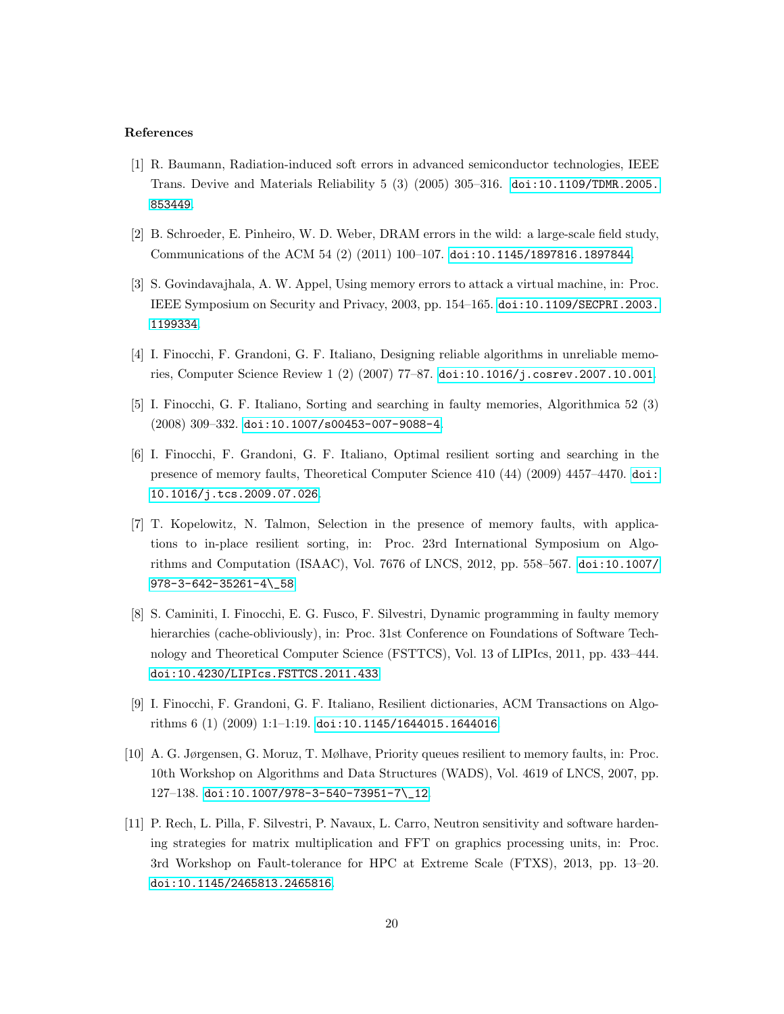#### References

- <span id="page-19-0"></span>[1] R. Baumann, Radiation-induced soft errors in advanced semiconductor technologies, IEEE Trans. Devive and Materials Reliability 5 (3) (2005) 305–316. [doi:10.1109/TDMR.2005.](http://dx.doi.org/10.1109/TDMR.2005.853449) [853449](http://dx.doi.org/10.1109/TDMR.2005.853449).
- <span id="page-19-1"></span>[2] B. Schroeder, E. Pinheiro, W. D. Weber, DRAM errors in the wild: a large-scale field study, Communications of the ACM 54 (2) (2011) 100–107. [doi:10.1145/1897816.1897844](http://dx.doi.org/10.1145/1897816.1897844).
- <span id="page-19-2"></span>[3] S. Govindavajhala, A. W. Appel, Using memory errors to attack a virtual machine, in: Proc. IEEE Symposium on Security and Privacy, 2003, pp. 154–165. [doi:10.1109/SECPRI.2003.](http://dx.doi.org/10.1109/SECPRI.2003.1199334) [1199334](http://dx.doi.org/10.1109/SECPRI.2003.1199334).
- <span id="page-19-3"></span>[4] I. Finocchi, F. Grandoni, G. F. Italiano, Designing reliable algorithms in unreliable memories, Computer Science Review 1 (2) (2007) 77–87. [doi:10.1016/j.cosrev.2007.10.001](http://dx.doi.org/10.1016/j.cosrev.2007.10.001).
- <span id="page-19-4"></span>[5] I. Finocchi, G. F. Italiano, Sorting and searching in faulty memories, Algorithmica 52 (3) (2008) 309–332. [doi:10.1007/s00453-007-9088-4](http://dx.doi.org/10.1007/s00453-007-9088-4).
- <span id="page-19-5"></span>[6] I. Finocchi, F. Grandoni, G. F. Italiano, Optimal resilient sorting and searching in the presence of memory faults, Theoretical Computer Science 410 (44) (2009) 4457–4470. [doi:](http://dx.doi.org/10.1016/j.tcs.2009.07.026) [10.1016/j.tcs.2009.07.026](http://dx.doi.org/10.1016/j.tcs.2009.07.026).
- <span id="page-19-6"></span>[7] T. Kopelowitz, N. Talmon, Selection in the presence of memory faults, with applications to in-place resilient sorting, in: Proc. 23rd International Symposium on Algorithms and Computation (ISAAC), Vol. 7676 of LNCS, 2012, pp. 558–567. [doi:10.1007/](http://dx.doi.org/10.1007/978-3-642-35261-4_58) [978-3-642-35261-4\\\_58](http://dx.doi.org/10.1007/978-3-642-35261-4_58).
- <span id="page-19-7"></span>[8] S. Caminiti, I. Finocchi, E. G. Fusco, F. Silvestri, Dynamic programming in faulty memory hierarchies (cache-obliviously), in: Proc. 31st Conference on Foundations of Software Technology and Theoretical Computer Science (FSTTCS), Vol. 13 of LIPIcs, 2011, pp. 433–444. [doi:10.4230/LIPIcs.FSTTCS.2011.433](http://dx.doi.org/10.4230/LIPIcs.FSTTCS.2011.433).
- <span id="page-19-8"></span>[9] I. Finocchi, F. Grandoni, G. F. Italiano, Resilient dictionaries, ACM Transactions on Algorithms 6 (1) (2009) 1:1–1:19. [doi:10.1145/1644015.1644016](http://dx.doi.org/10.1145/1644015.1644016).
- <span id="page-19-9"></span>[10] A. G. Jørgensen, G. Moruz, T. Mølhave, Priority queues resilient to memory faults, in: Proc. 10th Workshop on Algorithms and Data Structures (WADS), Vol. 4619 of LNCS, 2007, pp. 127–138. [doi:10.1007/978-3-540-73951-7\\\_12](http://dx.doi.org/10.1007/978-3-540-73951-7_12).
- <span id="page-19-10"></span>[11] P. Rech, L. Pilla, F. Silvestri, P. Navaux, L. Carro, Neutron sensitivity and software hardening strategies for matrix multiplication and FFT on graphics processing units, in: Proc. 3rd Workshop on Fault-tolerance for HPC at Extreme Scale (FTXS), 2013, pp. 13–20. [doi:10.1145/2465813.2465816](http://dx.doi.org/10.1145/2465813.2465816).